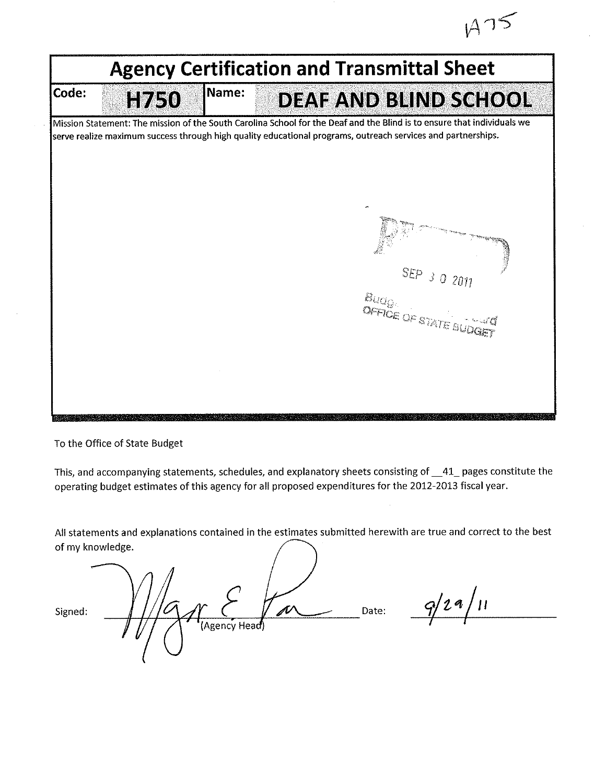$A75$ 

|       | <b>Agency Certification and Transmittal Sheet</b> |       |  |                                 |                                                                                                                                                                                                                                         |  |  |  |  |
|-------|---------------------------------------------------|-------|--|---------------------------------|-----------------------------------------------------------------------------------------------------------------------------------------------------------------------------------------------------------------------------------------|--|--|--|--|
| Code: | H750                                              | Name: |  |                                 | DEAF AND BLIND SCHOOL                                                                                                                                                                                                                   |  |  |  |  |
|       |                                                   |       |  |                                 | Mission Statement: The mission of the South Carolina School for the Deaf and the Blind is to ensure that individuals we<br>serve realize maximum success through high quality educational programs, outreach services and partnerships. |  |  |  |  |
|       |                                                   |       |  |                                 |                                                                                                                                                                                                                                         |  |  |  |  |
|       |                                                   |       |  | $\mathcal{B}_{UQ_{\mathbb{Q}}}$ | SEP<br>302011<br>OFFICE OF STATE BUDGE                                                                                                                                                                                                  |  |  |  |  |
|       |                                                   |       |  |                                 |                                                                                                                                                                                                                                         |  |  |  |  |
|       |                                                   |       |  |                                 |                                                                                                                                                                                                                                         |  |  |  |  |

To the Office of State Budget

This, and accompanying statements, schedules, and explanatory sheets consisting of \_41\_pages constitute the operating budget estimates of this agency for all proposed expenditures for the 2012-2013 fiscal year.

All statements and explanations contained in the estimates submitted herewith are true and correct to the best of my knowledge.

p 10 Date: Signed: Agency Head

 $9/29/11$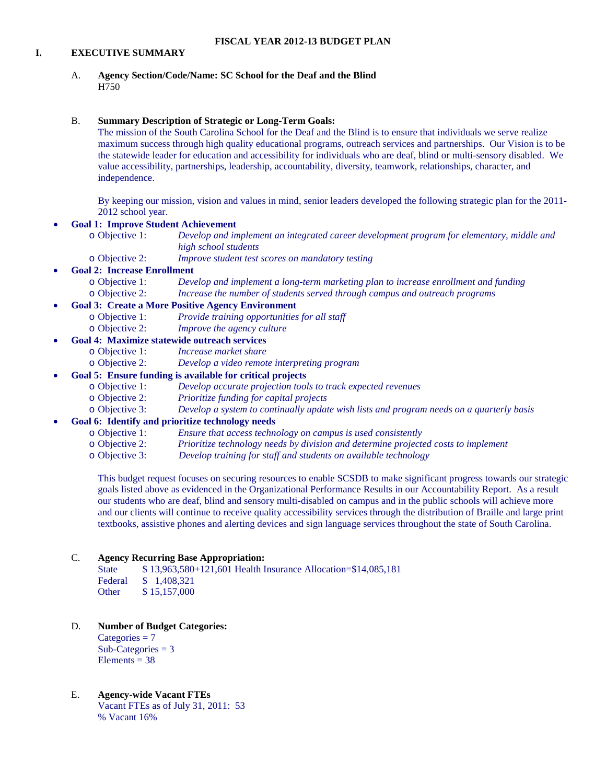## **I. EXECUTIVE SUMMARY**

A. **Agency Section/Code/Name: SC School for the Deaf and the Blind** H750

## B. **Summary Description of Strategic or Long-Term Goals:**

The mission of the South Carolina School for the Deaf and the Blind is to ensure that individuals we serve realize maximum success through high quality educational programs, outreach services and partnerships. Our Vision is to be the statewide leader for education and accessibility for individuals who are deaf, blind or multi-sensory disabled. We value accessibility, partnerships, leadership, accountability, diversity, teamwork, relationships, character, and independence.

By keeping our mission, vision and values in mind, senior leaders developed the following strategic plan for the 2011- 2012 school year.

## • **Goal 1: Improve Student Achievement**

- o Objective 1: *Develop and implement an integrated career development program for elementary, middle and high school students*
- o Objective 2: *Improve student test scores on mandatory testing*

## • **Goal 2: Increase Enrollment**

o Objective 1: *Develop and implement a long-term marketing plan to increase enrollment and funding* Increase the number of students served through campus and outreach programs

# **Goal 3: Create a More Positive Agency Environment**<br>
o Objective 1: Provide training opportunities

- o Objective 1: *Provide training opportunities for all staff*
	- Improve the agency culture

# • **Goal 4: Maximize statewide outreach services**

- o Objective 1: *Increase market share*
	- Develop a video remote interpreting program

# • **Goal 5: Ensure funding is available for critical projects**

- o Objective 1: *Develop accurate projection tools to track expected revenues*
- o Objective 2: *Prioritize funding for capital projects*

Develop a system to continually update wish lists and program needs on a quarterly basis

# • **Goal 6: Identify and prioritize technology needs**

- o Objective 1: *Ensure that access technology on campus is used consistently*
- o Objective 2: *Prioritize technology needs by division and determine projected costs to implement*
- Develop training for staff and students on available technology

This budget request focuses on securing resources to enable SCSDB to make significant progress towards our strategic goals listed above as evidenced in the Organizational Performance Results in our Accountability Report. As a result our students who are deaf, blind and sensory multi-disabled on campus and in the public schools will achieve more and our clients will continue to receive quality accessibility services through the distribution of Braille and large print textbooks, assistive phones and alerting devices and sign language services throughout the state of South Carolina.

#### C. **Agency Recurring Base Appropriation:**

State \$ 13,963,580+121,601 Health Insurance Allocation=\$14,085,181 Federal \$ 1,408,321

Other \$ 15,157,000

D. **Number of Budget Categories:**

 $Categorical = 7$ Sub-Categories  $= 3$ Elements  $= 38$ 

E. **Agency-wide Vacant FTEs** Vacant FTEs as of July 31, 2011: 53 % Vacant 16%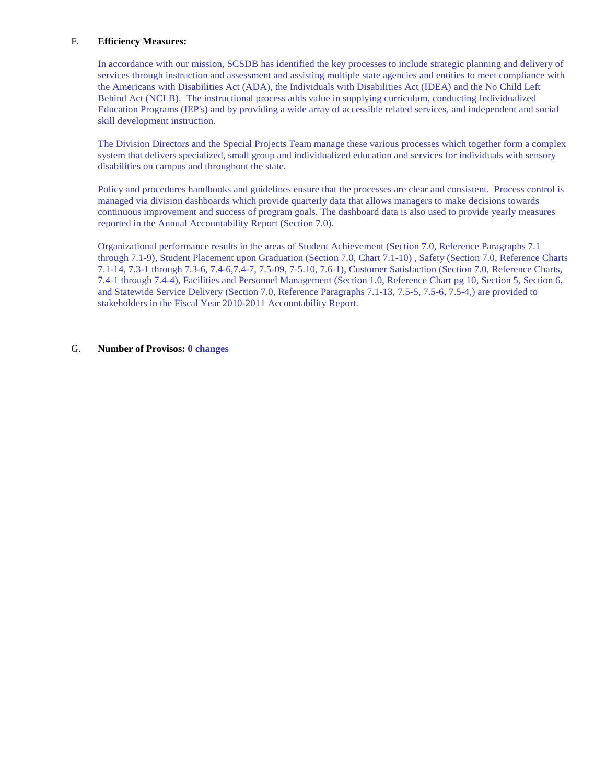## F. **Efficiency Measures:**

In accordance with our mission, SCSDB has identified the key processes to include strategic planning and delivery of services through instruction and assessment and assisting multiple state agencies and entities to meet compliance with the Americans with Disabilities Act (ADA), the Individuals with Disabilities Act (IDEA) and the No Child Left Behind Act (NCLB). The instructional process adds value in supplying curriculum, conducting Individualized Education Programs (IEP's) and by providing a wide array of accessible related services, and independent and social skill development instruction.

The Division Directors and the Special Projects Team manage these various processes which together form a complex system that delivers specialized, small group and individualized education and services for individuals with sensory disabilities on campus and throughout the state.

Policy and procedures handbooks and guidelines ensure that the processes are clear and consistent. Process control is managed via division dashboards which provide quarterly data that allows managers to make decisions towards continuous improvement and success of program goals. The dashboard data is also used to provide yearly measures reported in the Annual Accountability Report (Section 7.0).

Organizational performance results in the areas of Student Achievement (Section 7.0, Reference Paragraphs 7.1 through 7.1-9), Student Placement upon Graduation (Section 7.0, Chart 7.1-10) , Safety (Section 7.0, Reference Charts 7.1-14, 7.3-1 through 7.3-6, 7.4-6,7.4-7, 7.5-09, 7-5.10, 7.6-1), Customer Satisfaction (Section 7.0, Reference Charts, 7.4-1 through 7.4-4), Facilities and Personnel Management (Section 1.0, Reference Chart pg 10, Section 5, Section 6, and Statewide Service Delivery (Section 7.0, Reference Paragraphs 7.1-13, 7.5-5, 7.5-6, 7.5-4,) are provided to stakeholders in the Fiscal Year 2010-2011 Accountability Report.

## G. **Number of Provisos: 0 changes**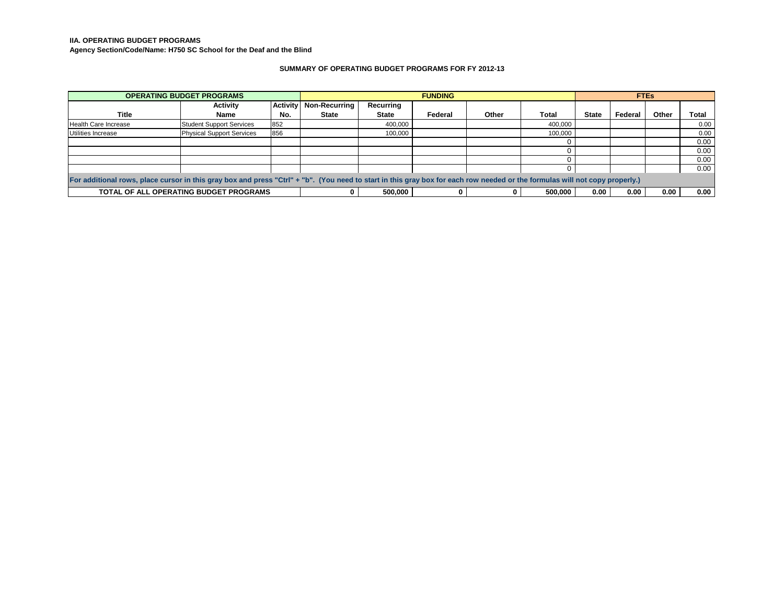**IIA. OPERATING BUDGET PROGRAMS**

**Agency Section/Code/Name: H750 SC School for the Deaf and the Blind**

#### **SUMMARY OF OPERATING BUDGET PROGRAMS FOR FY 2012-13**

|                                                                                                                                                                             | <b>OPERATING BUDGET PROGRAMS</b> |                 | <b>FUNDING</b> |              |         |       | <b>FTEs</b> |              |         |       |       |
|-----------------------------------------------------------------------------------------------------------------------------------------------------------------------------|----------------------------------|-----------------|----------------|--------------|---------|-------|-------------|--------------|---------|-------|-------|
|                                                                                                                                                                             | <b>Activity</b>                  | <b>Activity</b> | Non-Recurring  | Recurring    |         |       |             |              |         |       |       |
| <b>Title</b>                                                                                                                                                                | Name                             | No.             | State          | <b>State</b> | Federal | Other | Total       | <b>State</b> | Federal | Other | Total |
| Health Care Increase                                                                                                                                                        | <b>Student Support Services</b>  | 852             |                | 400.000      |         |       | 400,000     |              |         |       | 0.00  |
| Utilities Increase                                                                                                                                                          | <b>Physical Support Services</b> | 856             |                | 100,000      |         |       | 100,000     |              |         |       | 0.00  |
|                                                                                                                                                                             |                                  |                 |                |              |         |       |             |              |         |       | 0.00  |
|                                                                                                                                                                             |                                  |                 |                |              |         |       |             |              |         |       | 0.00  |
|                                                                                                                                                                             |                                  |                 |                |              |         |       |             |              |         |       | 0.00  |
|                                                                                                                                                                             |                                  |                 |                |              |         |       |             |              |         |       | 0.00  |
| For additional rows, place cursor in this gray box and press "Ctrl" + "b". (You need to start in this gray box for each row needed or the formulas will not copy properly.) |                                  |                 |                |              |         |       |             |              |         |       |       |
| TOTAL OF ALL OPERATING BUDGET PROGRAMS                                                                                                                                      |                                  |                 |                | 500.000      |         |       | 500,000     | 0.00         | 0.00    | 0.00  | 0.00  |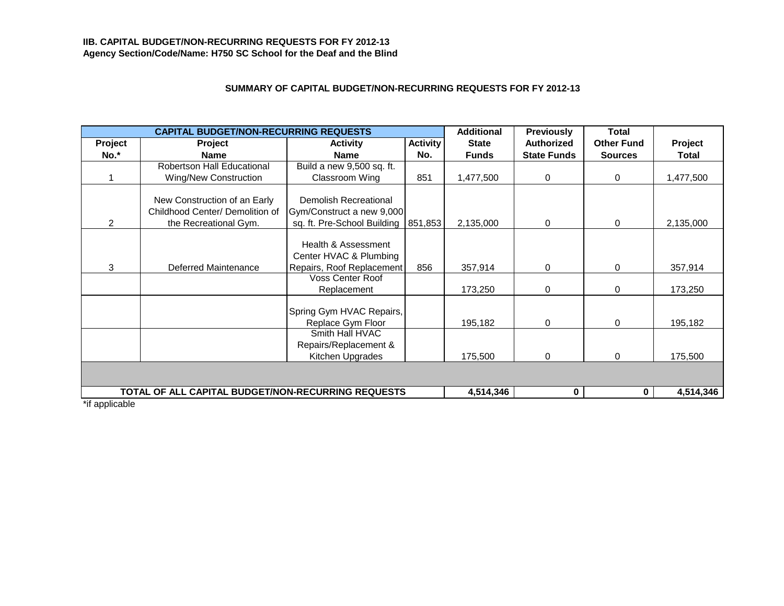# **IIB. CAPITAL BUDGET/NON-RECURRING REQUESTS FOR FY 2012-13 Agency Section/Code/Name: H750 SC School for the Deaf and the Blind**

# **SUMMARY OF CAPITAL BUDGET/NON-RECURRING REQUESTS FOR FY 2012-13**

|                | <b>CAPITAL BUDGET/NON-RECURRING REQUESTS</b>                                             |                                                                                   |                 | <b>Additional</b> | <b>Previously</b>  | Total             |              |  |
|----------------|------------------------------------------------------------------------------------------|-----------------------------------------------------------------------------------|-----------------|-------------------|--------------------|-------------------|--------------|--|
| Project        | Project                                                                                  | <b>Activity</b>                                                                   | <b>Activity</b> | <b>State</b>      | <b>Authorized</b>  | <b>Other Fund</b> | Project      |  |
| No.*           | <b>Name</b>                                                                              | <b>Name</b>                                                                       | No.             | <b>Funds</b>      | <b>State Funds</b> | <b>Sources</b>    | <b>Total</b> |  |
|                | <b>Robertson Hall Educational</b>                                                        | Build a new 9,500 sq. ft.                                                         |                 |                   |                    |                   |              |  |
|                | <b>Wing/New Construction</b>                                                             | Classroom Wing                                                                    | 851             | 1,477,500         | 0                  | $\mathbf 0$       | 1,477,500    |  |
| 2              | New Construction of an Early<br>Childhood Center/ Demolition of<br>the Recreational Gym. | Demolish Recreational<br>Gym/Construct a new 9,000<br>sq. ft. Pre-School Building | 851,853         | 2,135,000         | 0                  | $\mathbf 0$       | 2,135,000    |  |
| 3              | Deferred Maintenance                                                                     | Health & Assessment<br>Center HVAC & Plumbing<br>Repairs, Roof Replacement        | 856             | 357,914           | 0                  | $\mathbf 0$       | 357,914      |  |
|                |                                                                                          | <b>Voss Center Roof</b><br>Replacement                                            |                 | 173,250           | 0                  | $\Omega$          | 173,250      |  |
|                |                                                                                          | Spring Gym HVAC Repairs,<br>Replace Gym Floor                                     |                 | 195,182           | 0                  | $\Omega$          | 195,182      |  |
|                |                                                                                          | Smith Hall HVAC<br>Repairs/Replacement &<br>Kitchen Upgrades                      |                 | 175,500           | 0                  | $\Omega$          | 175,500      |  |
|                |                                                                                          |                                                                                   |                 |                   |                    |                   |              |  |
|                | TOTAL OF ALL CAPITAL BUDGET/NON-RECURRING REQUESTS                                       |                                                                                   |                 | 4,514,346         | $\mathbf 0$        | $\mathbf{0}$      | 4,514,346    |  |
| *if applicable |                                                                                          |                                                                                   |                 |                   |                    |                   |              |  |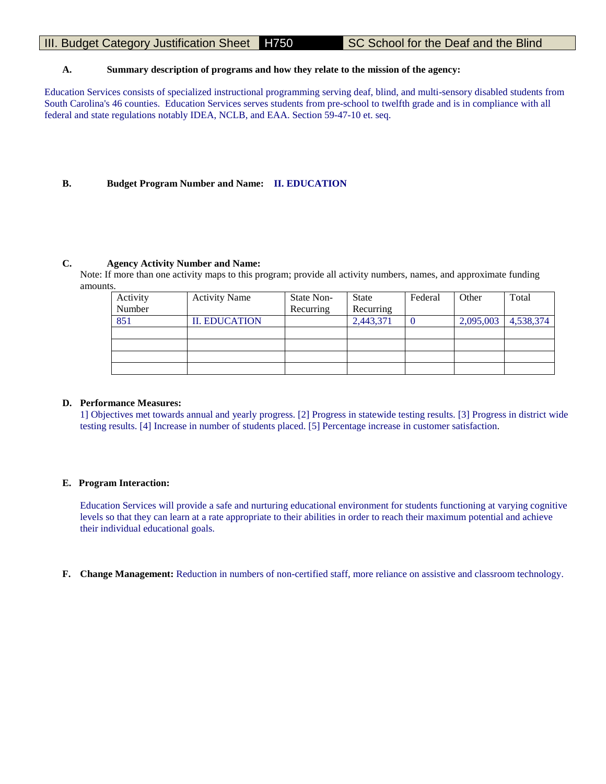# III. Budget Category Justification Sheet H750 SC School for the Deaf and the Blind

# **A. Summary description of programs and how they relate to the mission of the agency:**

Education Services consists of specialized instructional programming serving deaf, blind, and multi-sensory disabled students from South Carolina's 46 counties. Education Services serves students from pre-school to twelfth grade and is in compliance with all federal and state regulations notably IDEA, NCLB, and EAA. Section 59-47-10 et. seq.

## **B. Budget Program Number and Name: II. EDUCATION**

## **C. Agency Activity Number and Name:**

Note: If more than one activity maps to this program; provide all activity numbers, names, and approximate funding amounts.

| Activity | <b>Activity Name</b> | State Non- | <b>State</b> | Federal | Other     | Total     |
|----------|----------------------|------------|--------------|---------|-----------|-----------|
| Number   |                      | Recurring  | Recurring    |         |           |           |
| 851      | <b>II. EDUCATION</b> |            | 2,443,371    |         | 2,095,003 | 4,538,374 |
|          |                      |            |              |         |           |           |
|          |                      |            |              |         |           |           |
|          |                      |            |              |         |           |           |
|          |                      |            |              |         |           |           |

#### **D. Performance Measures:**

1] Objectives met towards annual and yearly progress. [2] Progress in statewide testing results. [3] Progress in district wide testing results. [4] Increase in number of students placed. [5] Percentage increase in customer satisfaction.

#### **E. Program Interaction:**

Education Services will provide a safe and nurturing educational environment for students functioning at varying cognitive levels so that they can learn at a rate appropriate to their abilities in order to reach their maximum potential and achieve their individual educational goals.

**F. Change Management:** Reduction in numbers of non-certified staff, more reliance on assistive and classroom technology.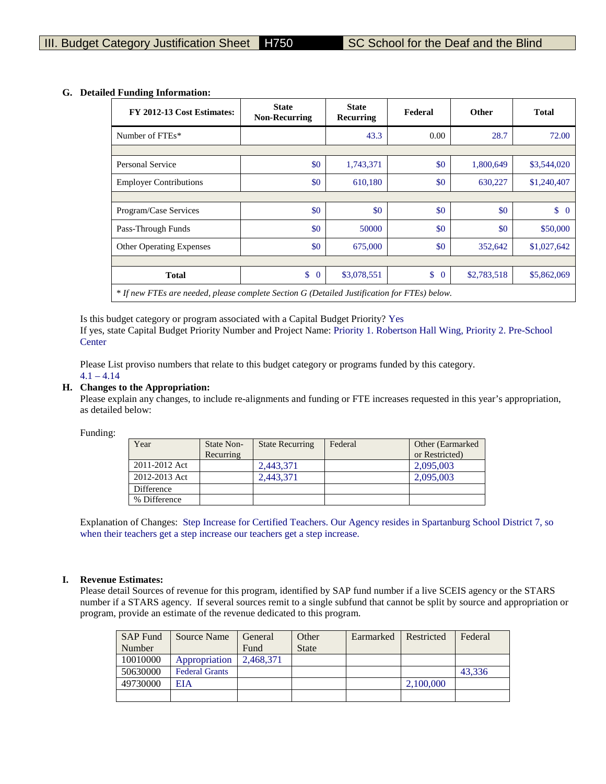| FY 2012-13 Cost Estimates:                                                                   | <b>State</b><br><b>Non-Recurring</b> | <b>State</b><br>Federal<br>Recurring |                    | <b>Other</b> | <b>Total</b> |
|----------------------------------------------------------------------------------------------|--------------------------------------|--------------------------------------|--------------------|--------------|--------------|
| Number of FTEs*                                                                              |                                      | 43.3                                 | 0.00               | 28.7         | 72.00        |
|                                                                                              |                                      |                                      |                    |              |              |
| Personal Service                                                                             | \$0                                  | 1,743,371                            | \$0                | 1,800,649    | \$3,544,020  |
| <b>Employer Contributions</b>                                                                | \$0                                  | 610,180                              | \$0                | 630,227      | \$1,240,407  |
|                                                                                              |                                      |                                      |                    |              |              |
| Program/Case Services                                                                        | \$0                                  | \$0                                  | \$0                | \$0          | $\upbeta$ 0  |
| Pass-Through Funds                                                                           | \$0                                  | 50000                                | \$0                | \$0          | \$50,000     |
| <b>Other Operating Expenses</b>                                                              | \$0                                  | 675,000                              | \$0                | 352,642      | \$1,027,642  |
|                                                                                              |                                      |                                      |                    |              |              |
| <b>Total</b>                                                                                 | \$<br>$\overline{0}$                 | \$3,078,551                          | \$<br>$\mathbf{0}$ | \$2,783,518  | \$5,862,069  |
| * If new FTEs are needed, please complete Section G (Detailed Justification for FTEs) below. |                                      |                                      |                    |              |              |

# **G. Detailed Funding Information:**

Is this budget category or program associated with a Capital Budget Priority? Yes If yes, state Capital Budget Priority Number and Project Name: Priority 1. Robertson Hall Wing, Priority 2. Pre-School **Center** 

Please List proviso numbers that relate to this budget category or programs funded by this category.  $4.1 - 4.14$ 

## **H. Changes to the Appropriation:**

Please explain any changes, to include re-alignments and funding or FTE increases requested in this year's appropriation, as detailed below:

Funding:

| Year          | State Non-<br>Recurring | <b>State Recurring</b> | Federal | Other (Earmarked)<br>or Restricted) |
|---------------|-------------------------|------------------------|---------|-------------------------------------|
| 2011-2012 Act |                         | 2,443,371              |         | 2,095,003                           |
| 2012-2013 Act |                         | 2.443.371              |         | 2,095,003                           |
| Difference    |                         |                        |         |                                     |
| % Difference  |                         |                        |         |                                     |

Explanation of Changes: Step Increase for Certified Teachers. Our Agency resides in Spartanburg School District 7, so when their teachers get a step increase our teachers get a step increase.

#### **I. Revenue Estimates:**

Please detail Sources of revenue for this program, identified by SAP fund number if a live SCEIS agency or the STARS number if a STARS agency. If several sources remit to a single subfund that cannot be split by source and appropriation or program, provide an estimate of the revenue dedicated to this program.

| <b>SAP Fund</b> | Source Name           | General   | Other        | Earmarked | Restricted | Federal |
|-----------------|-----------------------|-----------|--------------|-----------|------------|---------|
| Number          |                       | Fund      | <b>State</b> |           |            |         |
| 10010000        | Appropriation         | 2.468.371 |              |           |            |         |
| 50630000        | <b>Federal Grants</b> |           |              |           |            | 43.336  |
| 49730000        | EIA                   |           |              |           | 2,100,000  |         |
|                 |                       |           |              |           |            |         |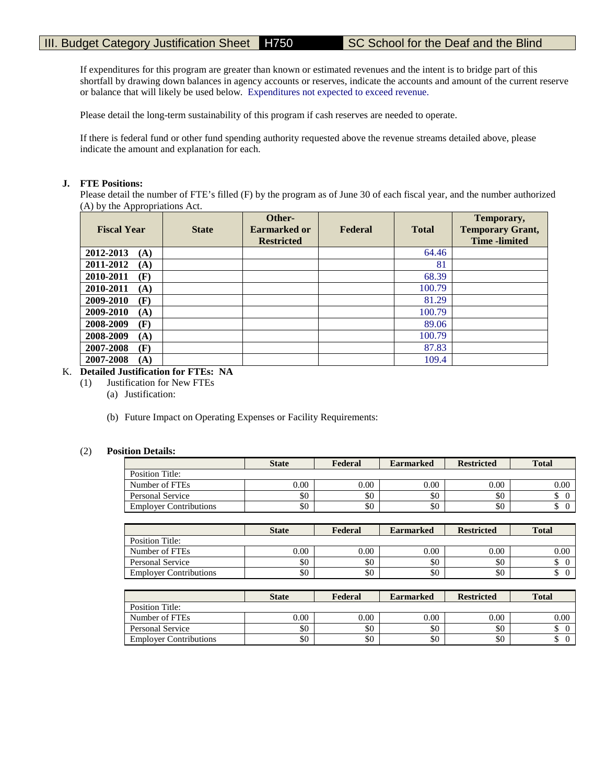If expenditures for this program are greater than known or estimated revenues and the intent is to bridge part of this shortfall by drawing down balances in agency accounts or reserves, indicate the accounts and amount of the current reserve or balance that will likely be used below. Expenditures not expected to exceed revenue.

Please detail the long-term sustainability of this program if cash reserves are needed to operate.

If there is federal fund or other fund spending authority requested above the revenue streams detailed above, please indicate the amount and explanation for each.

## **J. FTE Positions:**

Please detail the number of FTE's filled (F) by the program as of June 30 of each fiscal year, and the number authorized (A) by the Appropriations Act.

| <b>Fiscal Year</b> | <b>State</b> | Other-<br><b>Earmarked or</b><br><b>Restricted</b> | Federal | <b>Total</b> | Temporary,<br><b>Temporary Grant,</b><br><b>Time</b> -limited |
|--------------------|--------------|----------------------------------------------------|---------|--------------|---------------------------------------------------------------|
| 2012-2013<br>(A)   |              |                                                    |         | 64.46        |                                                               |
| 2011-2012<br>(A)   |              |                                                    |         | 81           |                                                               |
| 2010-2011<br>(F)   |              |                                                    |         | 68.39        |                                                               |
| 2010-2011<br>(A)   |              |                                                    |         | 100.79       |                                                               |
| 2009-2010<br>(F)   |              |                                                    |         | 81.29        |                                                               |
| 2009-2010<br>(A)   |              |                                                    |         | 100.79       |                                                               |
| 2008-2009<br>(F)   |              |                                                    |         | 89.06        |                                                               |
| 2008-2009<br>(A)   |              |                                                    |         | 100.79       |                                                               |
| 2007-2008<br>(F)   |              |                                                    |         | 87.83        |                                                               |
| 2007-2008<br>(A)   |              |                                                    |         | 109.4        |                                                               |

# K. **Detailed Justification for FTEs: NA**

- (1) Justification for New FTEs
	- (a) Justification:
	- (b) Future Impact on Operating Expenses or Facility Requirements:

## (2) **Position Details:**

|                               | <b>State</b> | Federal | <b>Earmarked</b> | <b>Restricted</b> | <b>Total</b> |
|-------------------------------|--------------|---------|------------------|-------------------|--------------|
| Position Title:               |              |         |                  |                   |              |
| Number of FTEs                | $0.00\,$     | 0.00    | 0.00             | 0.00              | 0.00         |
| Personal Service              | \$0          | \$0     | \$0              | \$0               |              |
| <b>Employer Contributions</b> | \$0          | \$0     | \$0              | \$0               | ╜            |

|                               | <b>State</b> | Federal  | <b>Earmarked</b> | <b>Restricted</b> | <b>Total</b> |
|-------------------------------|--------------|----------|------------------|-------------------|--------------|
| Position Title:               |              |          |                  |                   |              |
| Number of FTEs                | 0.00         | $0.00\,$ | 0.00             | 0.00              | $0.00\,$     |
| Personal Service              | \$0          | \$0      | \$0              | \$0               |              |
| <b>Employer Contributions</b> | \$0          | \$0      | \$0              | \$0               |              |

|                               | <b>State</b> | Federal | <b>Earmarked</b> | <b>Restricted</b> | <b>Total</b> |
|-------------------------------|--------------|---------|------------------|-------------------|--------------|
| Position Title:               |              |         |                  |                   |              |
| Number of FTEs                | $0.00\,$     | 0.00    | 0.00             | 0.00              | 0.00         |
| Personal Service              | \$0          | \$0     | \$0              | \$0               |              |
| <b>Employer Contributions</b> | \$0          | \$0     | \$0              | \$0               |              |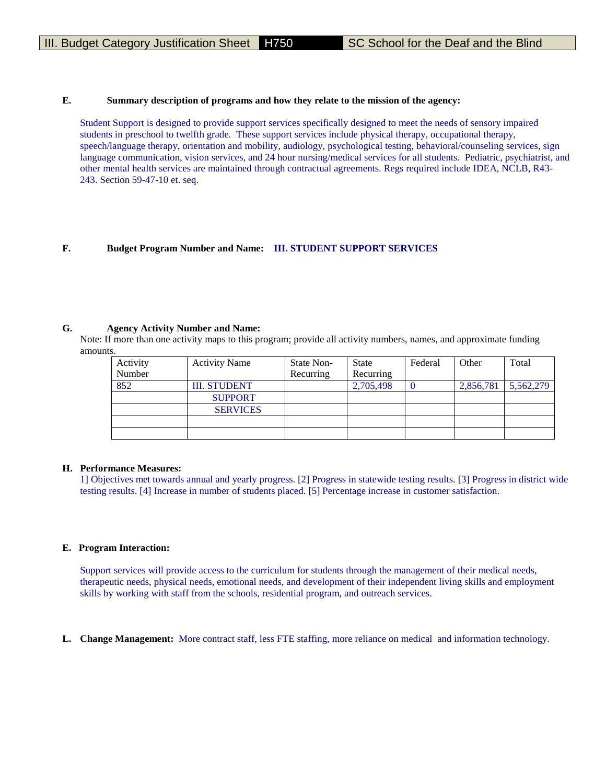#### **E. Summary description of programs and how they relate to the mission of the agency:**

Student Support is designed to provide support services specifically designed to meet the needs of sensory impaired students in preschool to twelfth grade. These support services include physical therapy, occupational therapy, speech/language therapy, orientation and mobility, audiology, psychological testing, behavioral/counseling services, sign language communication, vision services, and 24 hour nursing/medical services for all students. Pediatric, psychiatrist, and other mental health services are maintained through contractual agreements. Regs required include IDEA, NCLB, R43- 243. Section 59-47-10 et. seq.

## **F. Budget Program Number and Name: III. STUDENT SUPPORT SERVICES**

#### **G. Agency Activity Number and Name:**

Note: If more than one activity maps to this program; provide all activity numbers, names, and approximate funding amounts.

| Activity | <b>Activity Name</b> | State Non- | State     | Federal | Other     | Total     |
|----------|----------------------|------------|-----------|---------|-----------|-----------|
| Number   |                      | Recurring  | Recurring |         |           |           |
| 852      | <b>III. STUDENT</b>  |            | 2,705,498 |         | 2,856,781 | 5,562,279 |
|          | <b>SUPPORT</b>       |            |           |         |           |           |
|          | <b>SERVICES</b>      |            |           |         |           |           |
|          |                      |            |           |         |           |           |
|          |                      |            |           |         |           |           |

# **H. Performance Measures:**

1] Objectives met towards annual and yearly progress. [2] Progress in statewide testing results. [3] Progress in district wide testing results. [4] Increase in number of students placed. [5] Percentage increase in customer satisfaction.

#### **E. Program Interaction:**

Support services will provide access to the curriculum for students through the management of their medical needs, therapeutic needs, physical needs, emotional needs, and development of their independent living skills and employment skills by working with staff from the schools, residential program, and outreach services.

**L. Change Management:** More contract staff, less FTE staffing, more reliance on medical and information technology.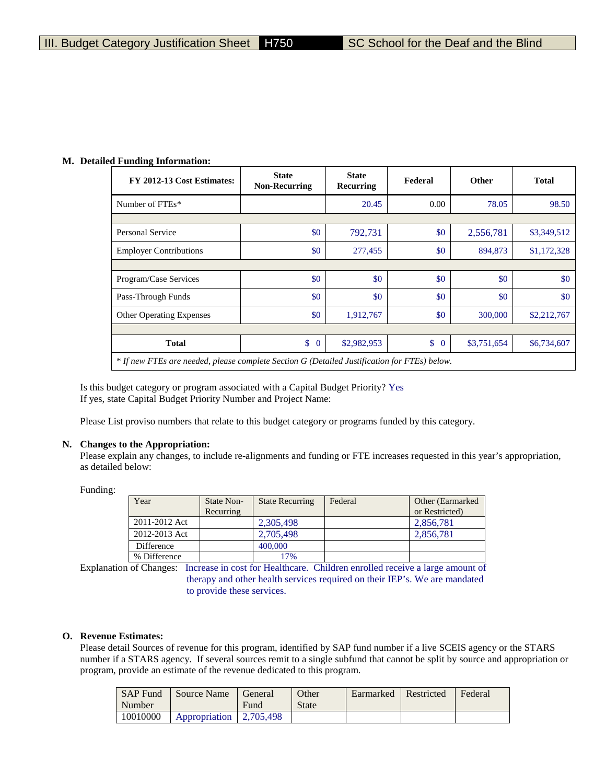#### **M. Detailed Funding Information:**

| FY 2012-13 Cost Estimates:                                                                   | <b>State</b><br><b>Non-Recurring</b> | <b>State</b><br>Recurring | Federal            | <b>Other</b> | <b>Total</b> |
|----------------------------------------------------------------------------------------------|--------------------------------------|---------------------------|--------------------|--------------|--------------|
| Number of FTEs*                                                                              |                                      | 20.45                     | 0.00               | 78.05        | 98.50        |
|                                                                                              |                                      |                           |                    |              |              |
| Personal Service                                                                             | \$0                                  | 792,731                   | \$0                | 2,556,781    | \$3,349,512  |
| <b>Employer Contributions</b>                                                                | \$0                                  | 277,455                   | \$0                | 894,873      | \$1,172,328  |
|                                                                                              |                                      |                           |                    |              |              |
| Program/Case Services                                                                        | \$0                                  | \$0                       | \$0                | \$0          | \$0          |
| Pass-Through Funds                                                                           | \$0                                  | \$0                       | \$0                | \$0          | \$0          |
| Other Operating Expenses                                                                     | \$0                                  | 1,912,767                 | \$0                | 300,000      | \$2,212,767  |
|                                                                                              |                                      |                           |                    |              |              |
| <b>Total</b>                                                                                 | \$<br>$\overline{0}$                 | \$2,982,953               | \$<br>$\mathbf{0}$ | \$3,751,654  | \$6,734,607  |
| * If new FTEs are needed, please complete Section G (Detailed Justification for FTEs) below. |                                      |                           |                    |              |              |

Is this budget category or program associated with a Capital Budget Priority? Yes If yes, state Capital Budget Priority Number and Project Name:

Please List proviso numbers that relate to this budget category or programs funded by this category.

#### **N. Changes to the Appropriation:**

Please explain any changes, to include re-alignments and funding or FTE increases requested in this year's appropriation, as detailed below:

Funding:

| Year          | State Non- | <b>State Recurring</b> | Federal | Other (Earmarked) |
|---------------|------------|------------------------|---------|-------------------|
|               | Recurring  |                        |         | or Restricted)    |
| 2011-2012 Act |            | 2,305,498              |         | 2,856,781         |
| 2012-2013 Act |            | 2,705,498              |         | 2,856,781         |
| Difference    |            | 400,000                |         |                   |
| % Difference  |            | 17%                    |         |                   |

Explanation of Changes: Increase in cost for Healthcare. Children enrolled receive a large amount of therapy and other health services required on their IEP's. We are mandated

to provide these services.

#### **O. Revenue Estimates:**

Please detail Sources of revenue for this program, identified by SAP fund number if a live SCEIS agency or the STARS number if a STARS agency. If several sources remit to a single subfund that cannot be split by source and appropriation or program, provide an estimate of the revenue dedicated to this program.

| <b>SAP Fund</b><br>Number | Source Name             | General<br>Fund | Other<br><b>State</b> | Earmarked | Restricted | Federal |
|---------------------------|-------------------------|-----------------|-----------------------|-----------|------------|---------|
|                           |                         |                 |                       |           |            |         |
| 10010000                  | Appropriation 2.705.498 |                 |                       |           |            |         |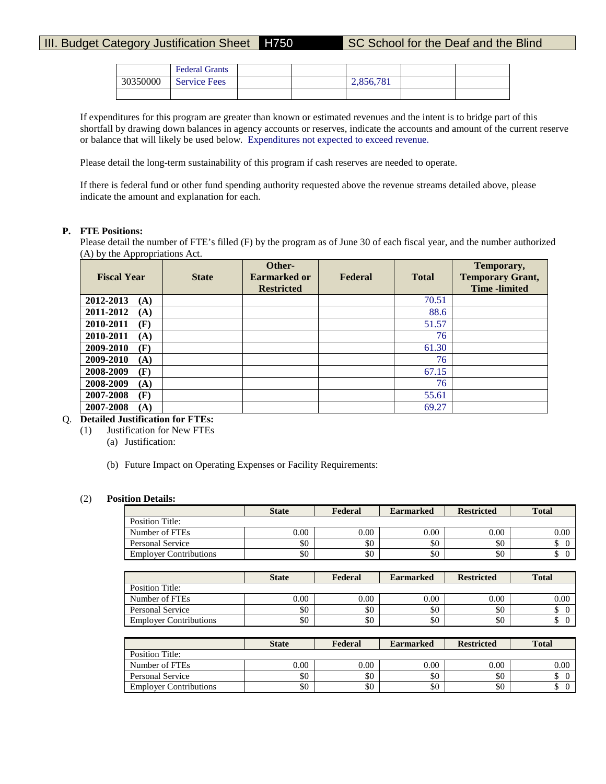# III. Budget Category Justification Sheet H750 SC School for the Deaf and the Blind

|          | <b>Federal Grants</b> |  |           |  |
|----------|-----------------------|--|-----------|--|
| 30350000 | <b>Service Fees</b>   |  | 2.856.781 |  |
|          |                       |  |           |  |

If expenditures for this program are greater than known or estimated revenues and the intent is to bridge part of this shortfall by drawing down balances in agency accounts or reserves, indicate the accounts and amount of the current reserve or balance that will likely be used below. Expenditures not expected to exceed revenue.

Please detail the long-term sustainability of this program if cash reserves are needed to operate.

If there is federal fund or other fund spending authority requested above the revenue streams detailed above, please indicate the amount and explanation for each.

## **P. FTE Positions:**

Please detail the number of FTE's filled (F) by the program as of June 30 of each fiscal year, and the number authorized (A) by the Appropriations Act.

| <b>Fiscal Year</b> | <b>State</b> | Other-<br><b>Earmarked or</b><br><b>Restricted</b> | Federal | <b>Total</b> | Temporary,<br><b>Temporary Grant,</b><br><b>Time</b> -limited |
|--------------------|--------------|----------------------------------------------------|---------|--------------|---------------------------------------------------------------|
| 2012-2013<br>(A)   |              |                                                    |         | 70.51        |                                                               |
| 2011-2012<br>(A)   |              |                                                    |         | 88.6         |                                                               |
| 2010-2011<br>(F)   |              |                                                    |         | 51.57        |                                                               |
| 2010-2011<br>(A)   |              |                                                    |         | 76           |                                                               |
| 2009-2010<br>(F)   |              |                                                    |         | 61.30        |                                                               |
| 2009-2010<br>(A)   |              |                                                    |         | 76           |                                                               |
| 2008-2009<br>(F)   |              |                                                    |         | 67.15        |                                                               |
| 2008-2009<br>(A)   |              |                                                    |         | 76           |                                                               |
| 2007-2008<br>(F)   |              |                                                    |         | 55.61        |                                                               |
| 2007-2008<br>(A)   |              |                                                    |         | 69.27        |                                                               |

# Q. **Detailed Justification for FTEs:**

- (1) Justification for New FTEs
	- (a) Justification:
	- (b) Future Impact on Operating Expenses or Facility Requirements:

#### (2) **Position Details:**

|                               | <b>State</b> | Federal | <b>Earmarked</b> | <b>Restricted</b> | <b>Total</b> |
|-------------------------------|--------------|---------|------------------|-------------------|--------------|
| Position Title:               |              |         |                  |                   |              |
| Number of FTEs                | 0.00         | 0.00    | 0.00             | 0.00              | 0.00         |
| Personal Service              | \$0          | \$0     | \$0              | \$0               |              |
| <b>Employer Contributions</b> | \$0          | \$0     | \$0              | \$0               |              |

|                               | <b>State</b> | Federal | <b>Earmarked</b> | <b>Restricted</b> | <b>Total</b> |
|-------------------------------|--------------|---------|------------------|-------------------|--------------|
| Position Title:               |              |         |                  |                   |              |
| Number of FTEs                | 0.00         | 0.00    | 0.00             | 0.00              | $0.00\,$     |
| Personal Service              | \$0          | \$0     | \$0              | \$0               |              |
| <b>Employer Contributions</b> | \$0          | \$0     | \$0              | \$0               |              |

|                               | <b>State</b> | Federal  | <b>Earmarked</b> | <b>Restricted</b> | <b>Total</b> |
|-------------------------------|--------------|----------|------------------|-------------------|--------------|
| Position Title:               |              |          |                  |                   |              |
| Number of FTEs                | 0.00         | $0.00\,$ | 0.00             | $0.00\,$          | 0.00         |
| Personal Service              | \$0          | \$0      | \$0              | \$0               | Φ            |
| <b>Employer Contributions</b> | \$0          | \$0      | \$0              | \$0               | Φ            |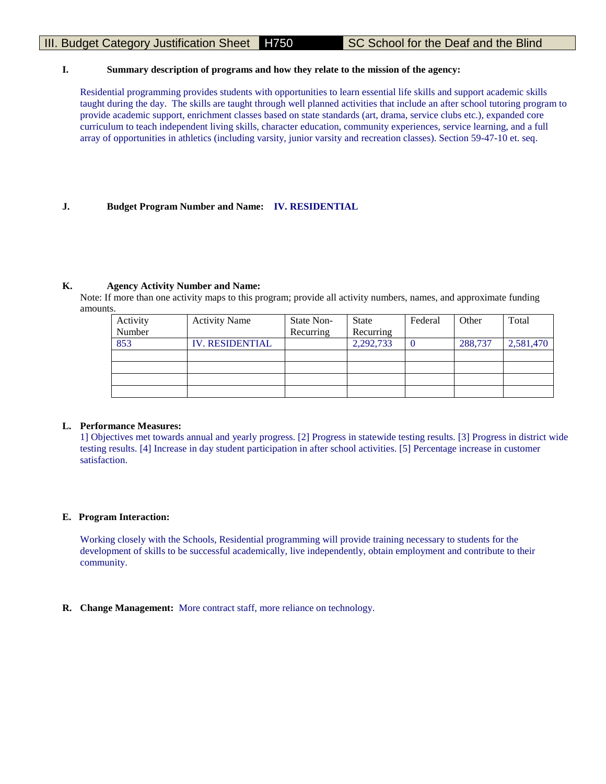# III. Budget Category Justification Sheet H750 SC School for the Deaf and the Blind

## **I. Summary description of programs and how they relate to the mission of the agency:**

Residential programming provides students with opportunities to learn essential life skills and support academic skills taught during the day. The skills are taught through well planned activities that include an after school tutoring program to provide academic support, enrichment classes based on state standards (art, drama, service clubs etc.), expanded core curriculum to teach independent living skills, character education, community experiences, service learning, and a full array of opportunities in athletics (including varsity, junior varsity and recreation classes). Section 59-47-10 et. seq.

# **J. Budget Program Number and Name: IV. RESIDENTIAL**

## **K. Agency Activity Number and Name:**

Note: If more than one activity maps to this program; provide all activity numbers, names, and approximate funding amounts.

| <b>Activity Name</b>   | State Non- | <b>State</b> | Federal | Other   | Total     |
|------------------------|------------|--------------|---------|---------|-----------|
|                        | Recurring  | Recurring    |         |         |           |
| <b>IV. RESIDENTIAL</b> |            | 2,292,733    |         | 288,737 | 2,581,470 |
|                        |            |              |         |         |           |
|                        |            |              |         |         |           |
|                        |            |              |         |         |           |
|                        |            |              |         |         |           |
|                        |            |              |         |         |           |

#### **L. Performance Measures:**

1] Objectives met towards annual and yearly progress. [2] Progress in statewide testing results. [3] Progress in district wide testing results. [4] Increase in day student participation in after school activities. [5] Percentage increase in customer satisfaction.

# **E. Program Interaction:**

Working closely with the Schools, Residential programming will provide training necessary to students for the development of skills to be successful academically, live independently, obtain employment and contribute to their community.

**R. Change Management:** More contract staff, more reliance on technology.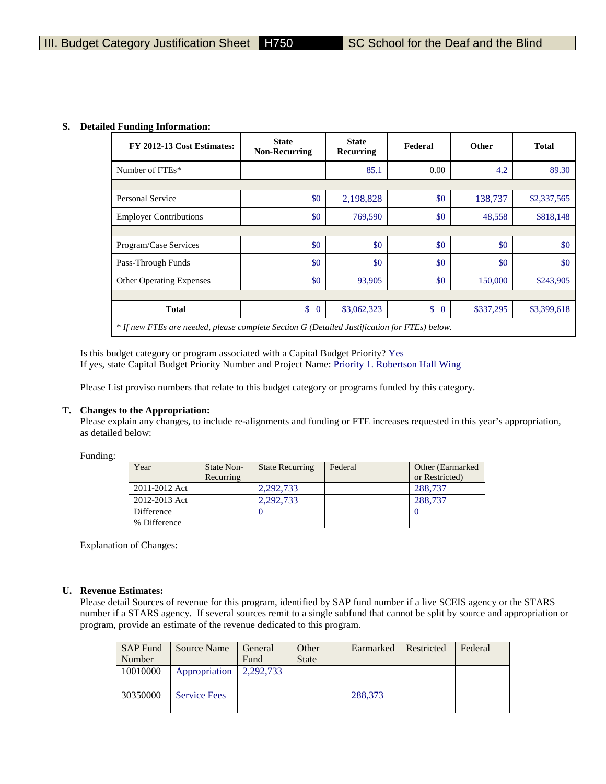#### **S. Detailed Funding Information:**

| FY 2012-13 Cost Estimates:                                                                   | <b>State</b><br><b>Non-Recurring</b> | <b>State</b><br>Recurring | Federal            | <b>Other</b> | <b>Total</b> |
|----------------------------------------------------------------------------------------------|--------------------------------------|---------------------------|--------------------|--------------|--------------|
| Number of FTEs*                                                                              |                                      | 85.1                      | 0.00               | 4.2          | 89.30        |
|                                                                                              |                                      |                           |                    |              |              |
| <b>Personal Service</b>                                                                      | \$0                                  | 2,198,828                 | \$0                | 138,737      | \$2,337,565  |
| <b>Employer Contributions</b>                                                                | \$0                                  | 769,590                   | \$0                | 48,558       | \$818,148    |
|                                                                                              |                                      |                           |                    |              |              |
| Program/Case Services                                                                        | \$0                                  | \$0                       | \$0                | \$0          | \$0          |
| Pass-Through Funds                                                                           | \$0                                  | \$0                       | \$0                | \$0          | \$0          |
| <b>Other Operating Expenses</b>                                                              | \$0                                  | 93,905                    | \$0                | 150,000      | \$243,905    |
|                                                                                              |                                      |                           |                    |              |              |
| <b>Total</b>                                                                                 | \$<br>$\mathbf{0}$                   | \$3,062,323               | \$<br>$\mathbf{0}$ | \$337,295    | \$3,399,618  |
| * If new FTEs are needed, please complete Section G (Detailed Justification for FTEs) below. |                                      |                           |                    |              |              |

Is this budget category or program associated with a Capital Budget Priority? Yes If yes, state Capital Budget Priority Number and Project Name: Priority 1. Robertson Hall Wing

Please List proviso numbers that relate to this budget category or programs funded by this category.

#### **T. Changes to the Appropriation:**

Please explain any changes, to include re-alignments and funding or FTE increases requested in this year's appropriation, as detailed below:

Funding:

| Year          | State Non-<br>Recurring | <b>State Recurring</b> | Federal | Other (Earmarked)<br>or Restricted) |
|---------------|-------------------------|------------------------|---------|-------------------------------------|
| 2011-2012 Act |                         | 2.292.733              |         | 288,737                             |
| 2012-2013 Act |                         | 2.292.733              |         | 288,737                             |
| Difference    |                         |                        |         |                                     |
| % Difference  |                         |                        |         |                                     |

Explanation of Changes:

#### **U. Revenue Estimates:**

Please detail Sources of revenue for this program, identified by SAP fund number if a live SCEIS agency or the STARS number if a STARS agency. If several sources remit to a single subfund that cannot be split by source and appropriation or program, provide an estimate of the revenue dedicated to this program.

| <b>SAP Fund</b><br>Number | Source Name         | General<br>Fund | Other<br><b>State</b> | Earmarked | Restricted | Federal |
|---------------------------|---------------------|-----------------|-----------------------|-----------|------------|---------|
| 10010000                  | Appropriation       | 2.292.733       |                       |           |            |         |
|                           |                     |                 |                       |           |            |         |
| 30350000                  | <b>Service Fees</b> |                 |                       | 288,373   |            |         |
|                           |                     |                 |                       |           |            |         |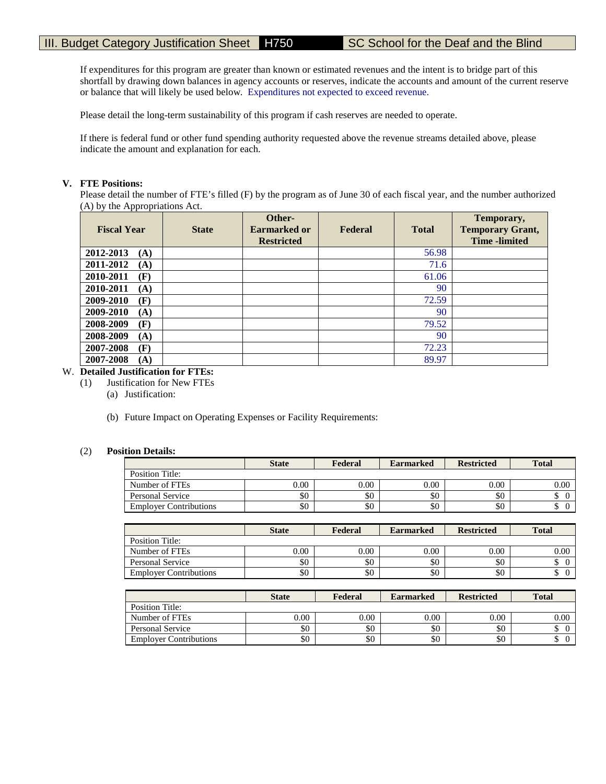If expenditures for this program are greater than known or estimated revenues and the intent is to bridge part of this shortfall by drawing down balances in agency accounts or reserves, indicate the accounts and amount of the current reserve or balance that will likely be used below. Expenditures not expected to exceed revenue.

Please detail the long-term sustainability of this program if cash reserves are needed to operate.

If there is federal fund or other fund spending authority requested above the revenue streams detailed above, please indicate the amount and explanation for each.

## **V. FTE Positions:**

Please detail the number of FTE's filled (F) by the program as of June 30 of each fiscal year, and the number authorized (A) by the Appropriations Act.

| <b>Fiscal Year</b> | <b>State</b> | Other-<br>Earmarked or<br><b>Restricted</b> | Federal | <b>Total</b> | Temporary,<br><b>Temporary Grant,</b><br><b>Time</b> -limited |
|--------------------|--------------|---------------------------------------------|---------|--------------|---------------------------------------------------------------|
| 2012-2013<br>(A)   |              |                                             |         | 56.98        |                                                               |
| 2011-2012<br>(A)   |              |                                             |         | 71.6         |                                                               |
| 2010-2011<br>(F)   |              |                                             |         | 61.06        |                                                               |
| 2010-2011<br>(A)   |              |                                             |         | 90           |                                                               |
| 2009-2010<br>(F)   |              |                                             |         | 72.59        |                                                               |
| 2009-2010<br>(A)   |              |                                             |         | 90           |                                                               |
| 2008-2009<br>(F)   |              |                                             |         | 79.52        |                                                               |
| 2008-2009<br>(A)   |              |                                             |         | 90           |                                                               |
| 2007-2008<br>(F)   |              |                                             |         | 72.23        |                                                               |
| 2007-2008<br>(A)   |              |                                             |         | 89.97        |                                                               |

## W. **Detailed Justification for FTEs:**

- (1) Justification for New FTEs
	- (a) Justification:
	- (b) Future Impact on Operating Expenses or Facility Requirements:

#### (2) **Position Details:**

|                               | <b>State</b> | Federal | <b>Earmarked</b> | <b>Restricted</b> | <b>Total</b> |
|-------------------------------|--------------|---------|------------------|-------------------|--------------|
| Position Title:               |              |         |                  |                   |              |
| Number of FTEs                | $0.00\,$     | 0.00    | 0.00             | 0.00              | 0.00         |
| Personal Service              | \$0          | \$0     | \$0              | \$0               |              |
| <b>Employer Contributions</b> | \$0          | \$0     | \$0              | \$0               | ╜            |

|                               | <b>State</b> | Federal | <b>Earmarked</b> | <b>Restricted</b> | <b>Total</b> |
|-------------------------------|--------------|---------|------------------|-------------------|--------------|
| Position Title:               |              |         |                  |                   |              |
| Number of FTEs                | 0.00         | 0.00    | 0.00             | 0.00              | $0.00\,$     |
| Personal Service              | \$0          | \$0     | \$0              | \$0               |              |
| <b>Employer Contributions</b> | \$0          | \$0     | \$0              | \$0               |              |

|                               | <b>State</b> | Federal | <b>Earmarked</b> | <b>Restricted</b> | <b>Total</b> |
|-------------------------------|--------------|---------|------------------|-------------------|--------------|
| Position Title:               |              |         |                  |                   |              |
| Number of FTEs                | 0.00         | 0.00    | 0.00             | 0.00              | 0.00         |
| Personal Service              | \$0          | \$0     | \$0              | \$0               |              |
| <b>Employer Contributions</b> | \$0          | \$0     | \$0              | \$0               |              |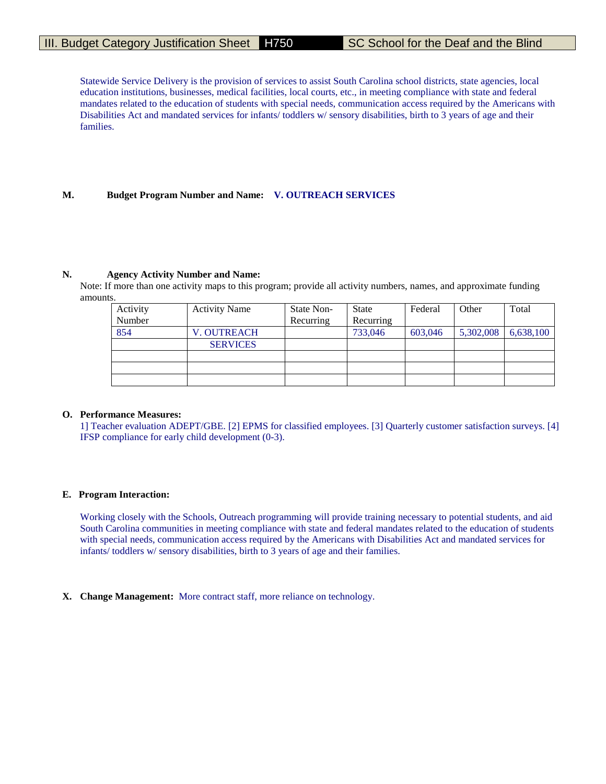Statewide Service Delivery is the provision of services to assist South Carolina school districts, state agencies, local education institutions, businesses, medical facilities, local courts, etc., in meeting compliance with state and federal mandates related to the education of students with special needs, communication access required by the Americans with Disabilities Act and mandated services for infants/ toddlers w/ sensory disabilities, birth to 3 years of age and their families.

#### **M. Budget Program Number and Name: V. OUTREACH SERVICES**

#### **N. Agency Activity Number and Name:**

Note: If more than one activity maps to this program; provide all activity numbers, names, and approximate funding amounts.

| Activity | <b>Activity Name</b> | State Non- | <b>State</b> | Federal | Other     | Total     |
|----------|----------------------|------------|--------------|---------|-----------|-----------|
| Number   |                      | Recurring  | Recurring    |         |           |           |
| 854      | <b>V. OUTREACH</b>   |            | 733,046      | 603,046 | 5,302,008 | 6,638,100 |
|          | <b>SERVICES</b>      |            |              |         |           |           |
|          |                      |            |              |         |           |           |
|          |                      |            |              |         |           |           |
|          |                      |            |              |         |           |           |

#### **O. Performance Measures:**

1] Teacher evaluation ADEPT/GBE. [2] EPMS for classified employees. [3] Quarterly customer satisfaction surveys. [4] IFSP compliance for early child development (0-3).

#### **E. Program Interaction:**

Working closely with the Schools, Outreach programming will provide training necessary to potential students, and aid South Carolina communities in meeting compliance with state and federal mandates related to the education of students with special needs, communication access required by the Americans with Disabilities Act and mandated services for infants/ toddlers w/ sensory disabilities, birth to 3 years of age and their families.

#### **X. Change Management:** More contract staff, more reliance on technology.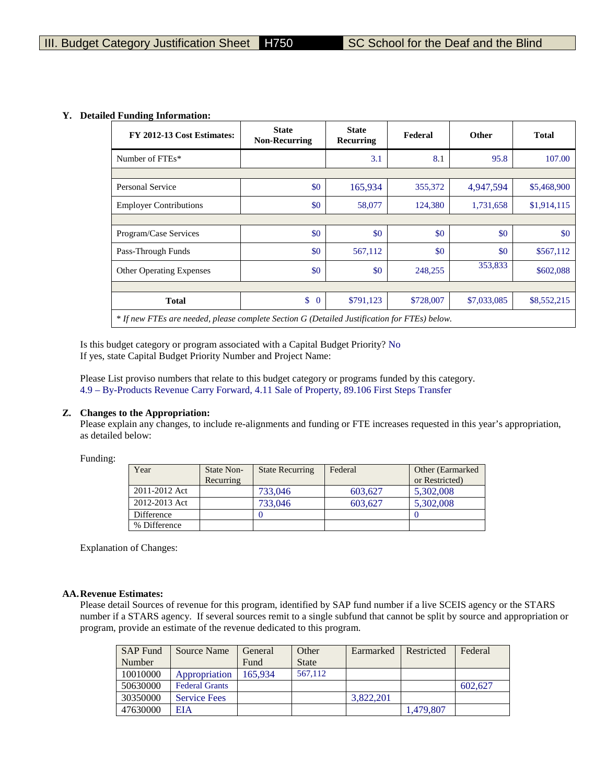#### **Y. Detailed Funding Information:**

| FY 2012-13 Cost Estimates:      | <b>State</b><br><b>State</b><br><b>Non-Recurring</b><br>Recurring                            |           | Federal   | <b>Other</b> | <b>Total</b> |  |  |  |  |  |
|---------------------------------|----------------------------------------------------------------------------------------------|-----------|-----------|--------------|--------------|--|--|--|--|--|
| Number of FTEs*                 |                                                                                              | 3.1       | 8.1       | 95.8         | 107.00       |  |  |  |  |  |
|                                 |                                                                                              |           |           |              |              |  |  |  |  |  |
| <b>Personal Service</b>         | \$0                                                                                          | 165,934   | 355,372   | 4,947,594    | \$5,468,900  |  |  |  |  |  |
| <b>Employer Contributions</b>   | \$0                                                                                          | 58,077    | 124,380   | 1,731,658    | \$1,914,115  |  |  |  |  |  |
|                                 |                                                                                              |           |           |              |              |  |  |  |  |  |
| Program/Case Services           | \$0                                                                                          | \$0       | \$0       | \$0          | \$0          |  |  |  |  |  |
| Pass-Through Funds              | \$0                                                                                          | 567,112   | \$0       | \$0          | \$567,112    |  |  |  |  |  |
| <b>Other Operating Expenses</b> | \$0                                                                                          | \$0       | 248,255   | 353,833      | \$602,088    |  |  |  |  |  |
|                                 |                                                                                              |           |           |              |              |  |  |  |  |  |
| <b>Total</b>                    | \$<br>$\overline{0}$                                                                         | \$791,123 | \$728,007 | \$7,033,085  | \$8,552,215  |  |  |  |  |  |
|                                 | * If new FTEs are needed, please complete Section G (Detailed Justification for FTEs) below. |           |           |              |              |  |  |  |  |  |

Is this budget category or program associated with a Capital Budget Priority? No If yes, state Capital Budget Priority Number and Project Name:

Please List proviso numbers that relate to this budget category or programs funded by this category. 4.9 – By-Products Revenue Carry Forward, 4.11 Sale of Property, 89.106 First Steps Transfer

## **Z. Changes to the Appropriation:**

Please explain any changes, to include re-alignments and funding or FTE increases requested in this year's appropriation, as detailed below:

Funding:

| Year          | State Non-<br>Recurring | <b>State Recurring</b> | Federal | Other (Earmarked)<br>or Restricted) |
|---------------|-------------------------|------------------------|---------|-------------------------------------|
| 2011-2012 Act |                         | 733,046                | 603.627 | 5,302,008                           |
| 2012-2013 Act |                         | 733,046                | 603.627 | 5,302,008                           |
| Difference    |                         |                        |         |                                     |
| % Difference  |                         |                        |         |                                     |

Explanation of Changes:

#### **AA.Revenue Estimates:**

Please detail Sources of revenue for this program, identified by SAP fund number if a live SCEIS agency or the STARS number if a STARS agency. If several sources remit to a single subfund that cannot be split by source and appropriation or program, provide an estimate of the revenue dedicated to this program.

| <b>SAP Fund</b> | Source Name           | General | Other        | Earmarked | Restricted | Federal |
|-----------------|-----------------------|---------|--------------|-----------|------------|---------|
| Number          |                       | Fund    | <b>State</b> |           |            |         |
| 10010000        | Appropriation         | 165.934 | 567,112      |           |            |         |
| 50630000        | <b>Federal Grants</b> |         |              |           |            | 602.627 |
| 30350000        | <b>Service Fees</b>   |         |              | 3.822.201 |            |         |
| 47630000        | <b>EIA</b>            |         |              |           | 1,479,807  |         |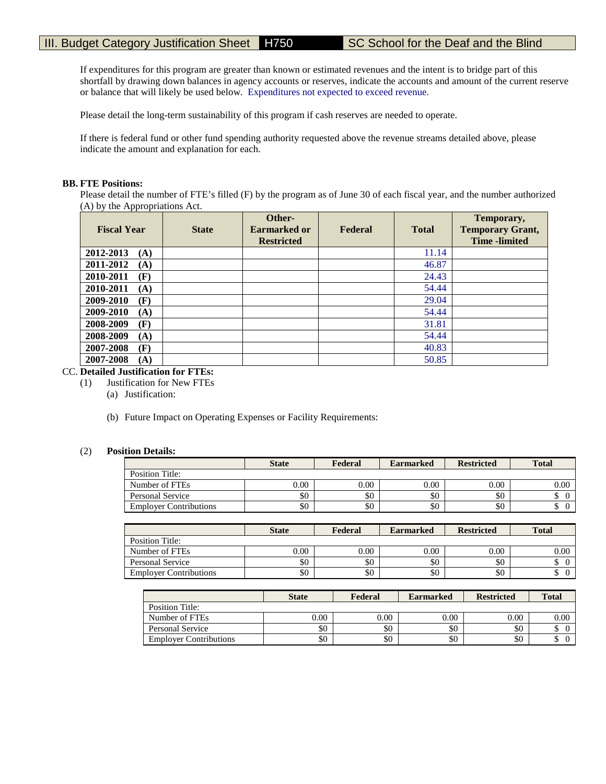If expenditures for this program are greater than known or estimated revenues and the intent is to bridge part of this shortfall by drawing down balances in agency accounts or reserves, indicate the accounts and amount of the current reserve or balance that will likely be used below. Expenditures not expected to exceed revenue.

Please detail the long-term sustainability of this program if cash reserves are needed to operate.

If there is federal fund or other fund spending authority requested above the revenue streams detailed above, please indicate the amount and explanation for each.

## **BB. FTE Positions:**

Please detail the number of FTE's filled (F) by the program as of June 30 of each fiscal year, and the number authorized (A) by the Appropriations Act.

| <b>Fiscal Year</b> | <b>State</b> | Other-<br><b>Earmarked or</b><br><b>Restricted</b> | Federal | <b>Total</b> | Temporary,<br><b>Temporary Grant,</b><br><b>Time</b> -limited |
|--------------------|--------------|----------------------------------------------------|---------|--------------|---------------------------------------------------------------|
| 2012-2013<br>(A)   |              |                                                    |         | 11.14        |                                                               |
| 2011-2012<br>(A)   |              |                                                    |         | 46.87        |                                                               |
| 2010-2011<br>(F)   |              |                                                    |         | 24.43        |                                                               |
| 2010-2011<br>(A)   |              |                                                    |         | 54.44        |                                                               |
| 2009-2010<br>(F)   |              |                                                    |         | 29.04        |                                                               |
| 2009-2010<br>(A)   |              |                                                    |         | 54.44        |                                                               |
| 2008-2009<br>(F)   |              |                                                    |         | 31.81        |                                                               |
| 2008-2009<br>(A)   |              |                                                    |         | 54.44        |                                                               |
| 2007-2008<br>(F)   |              |                                                    |         | 40.83        |                                                               |
| 2007-2008<br>(A)   |              |                                                    |         | 50.85        |                                                               |

# CC. **Detailed Justification for FTEs:**

- (1) Justification for New FTEs
	- (a) Justification:
	- (b) Future Impact on Operating Expenses or Facility Requirements:

## (2) **Position Details:**

|                               | <b>State</b> | Federal | <b>Earmarked</b> | <b>Restricted</b> | <b>Total</b> |
|-------------------------------|--------------|---------|------------------|-------------------|--------------|
| Position Title:               |              |         |                  |                   |              |
| Number of FTEs                | $0.00\,$     | 0.00    | 0.00             | 0.00              | 0.00         |
| Personal Service              | \$0          | \$0     | \$0              | \$0               | Φ            |
| <b>Employer Contributions</b> | \$0          | \$0     | \$0              | \$0               | ω            |

|                               | <b>State</b> | Federal | <b>Earmarked</b> | <b>Restricted</b> | <b>Total</b> |
|-------------------------------|--------------|---------|------------------|-------------------|--------------|
| Position Title:               |              |         |                  |                   |              |
| Number of FTEs                | 0.00         | 0.00    | 0.00             | 0.00              | 0.00         |
| Personal Service              | \$0          | \$0     | \$0              | \$0               |              |
| <b>Employer Contributions</b> | \$0          | \$0     | \$0              | \$0               | D            |

|                               | <b>State</b> | Federal | <b>Earmarked</b> | <b>Restricted</b> | <b>Total</b> |
|-------------------------------|--------------|---------|------------------|-------------------|--------------|
| <b>Position Title:</b>        |              |         |                  |                   |              |
| Number of FTEs                | 0.00         | 0.00    | 0.00             | 0.00              | 0.00         |
| Personal Service              | \$0          | \$0     | \$0              | \$0               |              |
| <b>Employer Contributions</b> | \$0          | \$0     | \$0              | \$0               | ◡            |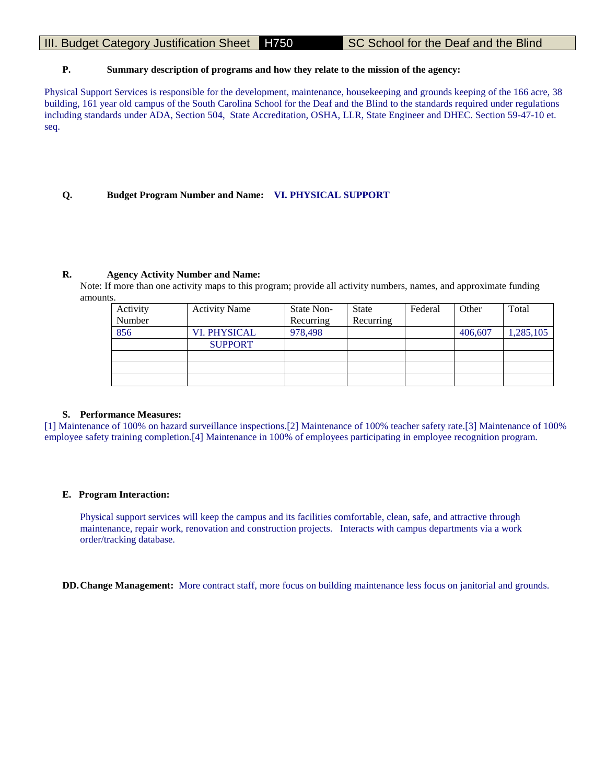# III. Budget Category Justification Sheet H750 SC School for the Deaf and the Blind

## **P. Summary description of programs and how they relate to the mission of the agency:**

Physical Support Services is responsible for the development, maintenance, housekeeping and grounds keeping of the 166 acre, 38 building, 161 year old campus of the South Carolina School for the Deaf and the Blind to the standards required under regulations including standards under ADA, Section 504, State Accreditation, OSHA, LLR, State Engineer and DHEC. Section 59-47-10 et. seq.

## **Q. Budget Program Number and Name: VI. PHYSICAL SUPPORT**

#### **R. Agency Activity Number and Name:**

Note: If more than one activity maps to this program; provide all activity numbers, names, and approximate funding amounts.

| Activity<br>Number | <b>Activity Name</b> | State Non-<br>Recurring | <b>State</b><br>Recurring | Federal | Other   | Total     |
|--------------------|----------------------|-------------------------|---------------------------|---------|---------|-----------|
| 856                | <b>VI. PHYSICAL</b>  | 978,498                 |                           |         | 406,607 | 1,285,105 |
|                    | <b>SUPPORT</b>       |                         |                           |         |         |           |
|                    |                      |                         |                           |         |         |           |
|                    |                      |                         |                           |         |         |           |
|                    |                      |                         |                           |         |         |           |

#### **S. Performance Measures:**

[1] Maintenance of 100% on hazard surveillance inspections.[2] Maintenance of 100% teacher safety rate.[3] Maintenance of 100% employee safety training completion.[4] Maintenance in 100% of employees participating in employee recognition program.

#### **E. Program Interaction:**

Physical support services will keep the campus and its facilities comfortable, clean, safe, and attractive through maintenance, repair work, renovation and construction projects. Interacts with campus departments via a work order/tracking database.

**DD.Change Management:** More contract staff, more focus on building maintenance less focus on janitorial and grounds.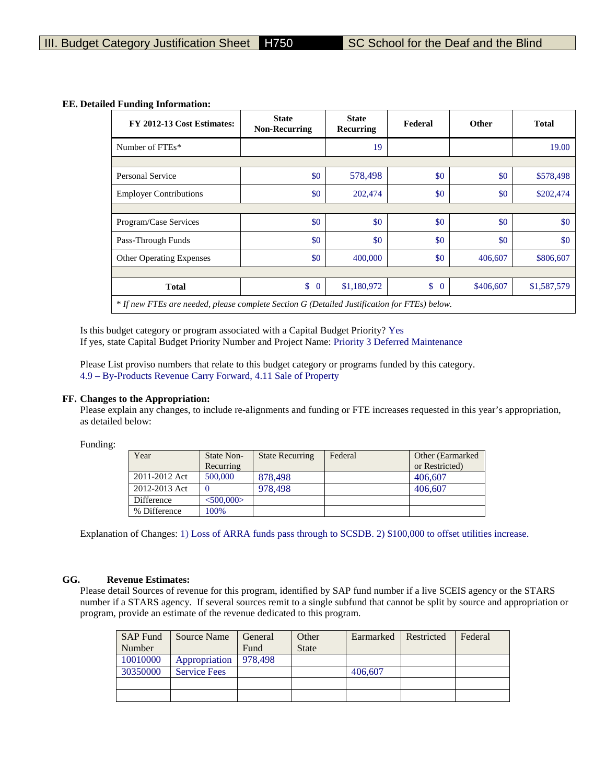| FY 2012-13 Cost Estimates:                                                                   | <b>State</b><br><b>Non-Recurring</b> | <b>State</b><br>Recurring | Federal | <b>Other</b> | <b>Total</b> |
|----------------------------------------------------------------------------------------------|--------------------------------------|---------------------------|---------|--------------|--------------|
| Number of FTEs*                                                                              |                                      | 19                        |         |              | 19.00        |
|                                                                                              |                                      |                           |         |              |              |
| <b>Personal Service</b>                                                                      | \$0                                  | 578,498                   | \$0     | \$0          | \$578,498    |
| <b>Employer Contributions</b>                                                                | \$0                                  | 202,474                   | \$0     | \$0          | \$202,474    |
|                                                                                              |                                      |                           |         |              |              |
| Program/Case Services                                                                        | \$0                                  | \$0                       | \$0     | \$0          | \$0          |
| Pass-Through Funds                                                                           | \$0                                  | \$0                       | \$0     | \$0          | \$0          |
| <b>Other Operating Expenses</b>                                                              | \$0                                  | 400,000                   | \$0     | 406,607      | \$806,607    |
|                                                                                              |                                      |                           |         |              |              |
| <b>Total</b>                                                                                 | \$<br>$\overline{0}$                 | \$1,180,972               | $\$\ 0$ | \$406,607    | \$1,587,579  |
| * If new FTEs are needed, please complete Section G (Detailed Justification for FTEs) below. |                                      |                           |         |              |              |

#### **EE. Detailed Funding Information:**

Is this budget category or program associated with a Capital Budget Priority? Yes If yes, state Capital Budget Priority Number and Project Name: Priority 3 Deferred Maintenance

Please List proviso numbers that relate to this budget category or programs funded by this category. 4.9 – By-Products Revenue Carry Forward, 4.11 Sale of Property

#### **FF. Changes to the Appropriation:**

Please explain any changes, to include re-alignments and funding or FTE increases requested in this year's appropriation, as detailed below:

Funding:

| Year          | State Non-      | <b>State Recurring</b> | Federal | Other (Earmarked) |
|---------------|-----------------|------------------------|---------|-------------------|
|               | Recurring       |                        |         | or Restricted)    |
| 2011-2012 Act | 500,000         | 878.498                |         | 406,607           |
| 2012-2013 Act |                 | 978.498                |         | 406,607           |
| Difference    | $<$ 500,000 $>$ |                        |         |                   |
| % Difference  | 100%            |                        |         |                   |

Explanation of Changes: 1) Loss of ARRA funds pass through to SCSDB. 2) \$100,000 to offset utilities increase.

#### **GG. Revenue Estimates:**

Please detail Sources of revenue for this program, identified by SAP fund number if a live SCEIS agency or the STARS number if a STARS agency. If several sources remit to a single subfund that cannot be split by source and appropriation or program, provide an estimate of the revenue dedicated to this program.

| <b>SAP Fund</b> | Source Name         | General | Other        | Earmarked Restricted | Federal |
|-----------------|---------------------|---------|--------------|----------------------|---------|
| Number          |                     | Fund    | <b>State</b> |                      |         |
| 10010000        | Appropriation       | 978.498 |              |                      |         |
| 30350000        | <b>Service Fees</b> |         |              | 406,607              |         |
|                 |                     |         |              |                      |         |
|                 |                     |         |              |                      |         |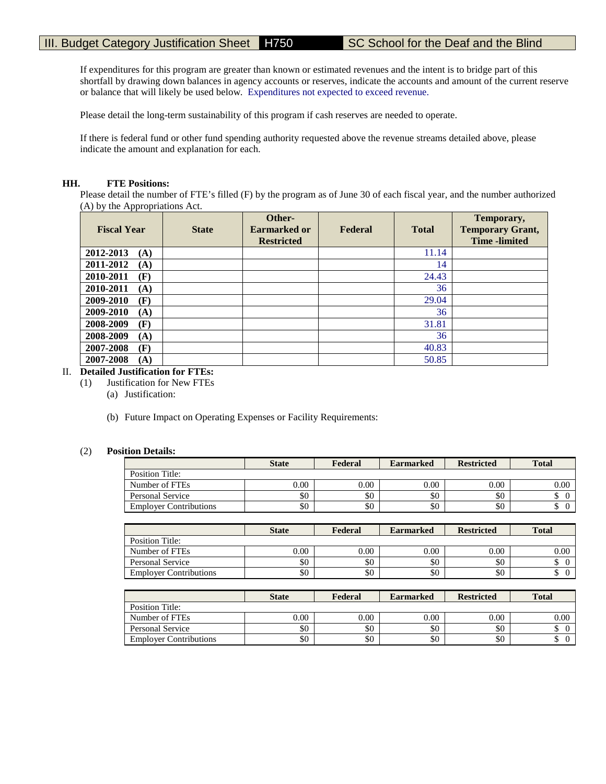If expenditures for this program are greater than known or estimated revenues and the intent is to bridge part of this shortfall by drawing down balances in agency accounts or reserves, indicate the accounts and amount of the current reserve or balance that will likely be used below. Expenditures not expected to exceed revenue.

Please detail the long-term sustainability of this program if cash reserves are needed to operate.

If there is federal fund or other fund spending authority requested above the revenue streams detailed above, please indicate the amount and explanation for each.

#### **HH. FTE Positions:**

Please detail the number of FTE's filled (F) by the program as of June 30 of each fiscal year, and the number authorized (A) by the Appropriations Act.

| <b>Fiscal Year</b> | <b>State</b> | Other-<br><b>Earmarked or</b><br><b>Restricted</b> | Federal | <b>Total</b> | Temporary,<br><b>Temporary Grant,</b><br><b>Time</b> -limited |
|--------------------|--------------|----------------------------------------------------|---------|--------------|---------------------------------------------------------------|
| 2012-2013<br>(A)   |              |                                                    |         | 11.14        |                                                               |
| 2011-2012<br>(A)   |              |                                                    |         | 14           |                                                               |
| 2010-2011<br>(F)   |              |                                                    |         | 24.43        |                                                               |
| 2010-2011<br>(A)   |              |                                                    |         | 36           |                                                               |
| 2009-2010<br>(F)   |              |                                                    |         | 29.04        |                                                               |
| 2009-2010<br>(A)   |              |                                                    |         | 36           |                                                               |
| 2008-2009<br>(F)   |              |                                                    |         | 31.81        |                                                               |
| 2008-2009<br>(A)   |              |                                                    |         | 36           |                                                               |
| 2007-2008<br>(F)   |              |                                                    |         | 40.83        |                                                               |
| 2007-2008<br>(A)   |              |                                                    |         | 50.85        |                                                               |

## II. **Detailed Justification for FTEs:**

- (1) Justification for New FTEs
	- (a) Justification:
	- (b) Future Impact on Operating Expenses or Facility Requirements:

## (2) **Position Details:**

|                               | <b>State</b> | Federal | <b>Earmarked</b> | <b>Restricted</b> | <b>Total</b> |
|-------------------------------|--------------|---------|------------------|-------------------|--------------|
| Position Title:               |              |         |                  |                   |              |
| Number of FTEs                | $0.00\,$     | 0.00    | 0.00             | 0.00              | 0.00         |
| Personal Service              | \$0          | \$0     | \$0              | \$0               |              |
| <b>Employer Contributions</b> | \$0          | \$0     | \$0              | \$0               | ╜            |

|                               | <b>State</b> | Federal  | <b>Earmarked</b> | <b>Restricted</b> | <b>Total</b> |
|-------------------------------|--------------|----------|------------------|-------------------|--------------|
| Position Title:               |              |          |                  |                   |              |
| Number of FTEs                | 0.00         | $0.00\,$ | 0.00             | 0.00              | $0.00\,$     |
| Personal Service              | \$0          | \$0      | \$0              | \$0               |              |
| <b>Employer Contributions</b> | \$0          | \$0      | \$0              | \$0               |              |

|                               | <b>State</b> | Federal | <b>Earmarked</b> | <b>Restricted</b> | <b>Total</b> |
|-------------------------------|--------------|---------|------------------|-------------------|--------------|
| Position Title:               |              |         |                  |                   |              |
| Number of FTEs                | $0.00\,$     | 0.00    | 0.00             | 0.00              | 0.00         |
| Personal Service              | \$0          | \$0     | \$0              | \$0               |              |
| <b>Employer Contributions</b> | \$0          | \$0     | \$0              | \$0               |              |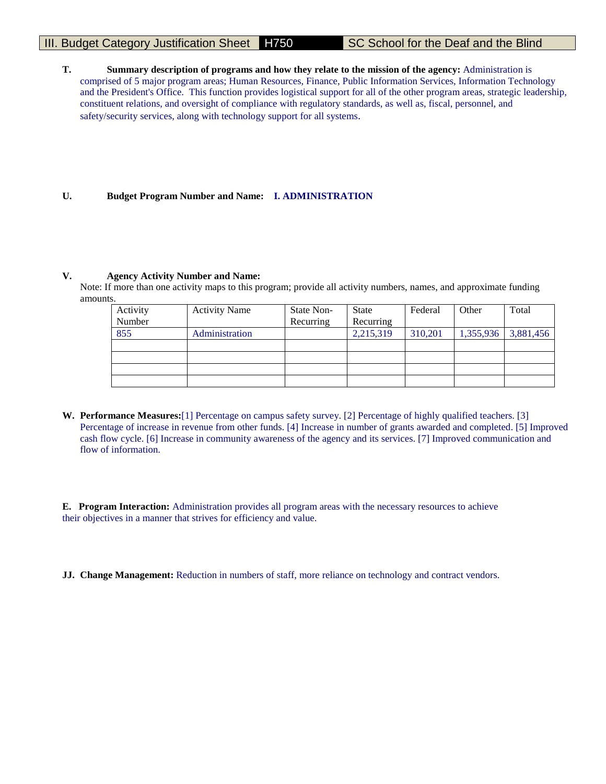# III. Budget Category Justification Sheet H750 SC School for the Deaf and the Blind

**T. Summary description of programs and how they relate to the mission of the agency:** Administration is comprised of 5 major program areas; Human Resources, Finance, Public Information Services, Information Technology and the President's Office. This function provides logistical support for all of the other program areas, strategic leadership, constituent relations, and oversight of compliance with regulatory standards, as well as, fiscal, personnel, and safety/security services, along with technology support for all systems.

# **U. Budget Program Number and Name: I. ADMINISTRATION**

#### **V. Agency Activity Number and Name:**

Note: If more than one activity maps to this program; provide all activity numbers, names, and approximate funding amounts.

| Activity | <b>Activity Name</b> | State Non- | State     | Federal | Other     | Total     |
|----------|----------------------|------------|-----------|---------|-----------|-----------|
| Number   |                      | Recurring  | Recurring |         |           |           |
| 855      | Administration       |            | 2,215,319 | 310,201 | 1,355,936 | 3,881,456 |
|          |                      |            |           |         |           |           |
|          |                      |            |           |         |           |           |
|          |                      |            |           |         |           |           |
|          |                      |            |           |         |           |           |

**W. Performance Measures:**[1] Percentage on campus safety survey. [2] Percentage of highly qualified teachers. [3] Percentage of increase in revenue from other funds. [4] Increase in number of grants awarded and completed. [5] Improved cash flow cycle. [6] Increase in community awareness of the agency and its services. [7] Improved communication and flow of information.

**E. Program Interaction:** Administration provides all program areas with the necessary resources to achieve their objectives in a manner that strives for efficiency and value.

**JJ. Change Management:** Reduction in numbers of staff, more reliance on technology and contract vendors.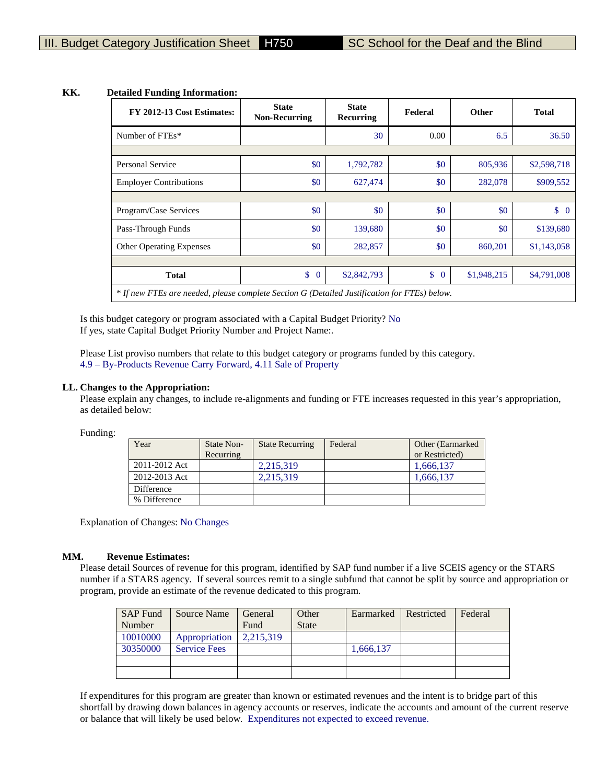| FY 2012-13 Cost Estimates:                                                                   | <b>State</b><br><b>Non-Recurring</b> | <b>State</b><br>Recurring | Federal              | <b>Other</b> | <b>Total</b> |
|----------------------------------------------------------------------------------------------|--------------------------------------|---------------------------|----------------------|--------------|--------------|
| Number of FTEs*                                                                              |                                      | 30                        | 0.00                 | 6.5          | 36.50        |
|                                                                                              |                                      |                           |                      |              |              |
| Personal Service                                                                             | \$0                                  | 1,792,782                 | \$0                  | 805,936      | \$2,598,718  |
| <b>Employer Contributions</b>                                                                | \$0                                  | 627,474                   | \$0                  | 282,078      | \$909,552    |
|                                                                                              |                                      |                           |                      |              |              |
| Program/Case Services                                                                        | \$0                                  | \$0                       | \$0                  | \$0          | $\$\ 0$      |
| Pass-Through Funds                                                                           | \$0                                  | 139,680                   | \$0                  | \$0          | \$139,680    |
| Other Operating Expenses                                                                     | \$0                                  | 282,857                   | \$0                  | 860,201      | \$1,143,058  |
|                                                                                              |                                      |                           |                      |              |              |
| <b>Total</b>                                                                                 | \$<br>$\overline{0}$                 | \$2,842,793               | \$<br>$\overline{0}$ | \$1,948,215  | \$4,791,008  |
| * If new FTEs are needed, please complete Section G (Detailed Justification for FTEs) below. |                                      |                           |                      |              |              |

# **KK. Detailed Funding Information:**

Is this budget category or program associated with a Capital Budget Priority? No If yes, state Capital Budget Priority Number and Project Name:.

Please List proviso numbers that relate to this budget category or programs funded by this category. 4.9 – By-Products Revenue Carry Forward, 4.11 Sale of Property

#### **LL. Changes to the Appropriation:**

Please explain any changes, to include re-alignments and funding or FTE increases requested in this year's appropriation, as detailed below:

Funding:

| Year          | State Non-<br>Recurring | <b>State Recurring</b> | Federal | Other (Earmarked)<br>or Restricted) |
|---------------|-------------------------|------------------------|---------|-------------------------------------|
| 2011-2012 Act |                         | 2.215.319              |         | 1,666,137                           |
| 2012-2013 Act |                         | 2,215,319              |         | 1,666,137                           |
| Difference    |                         |                        |         |                                     |
| % Difference  |                         |                        |         |                                     |

Explanation of Changes: No Changes

#### **MM. Revenue Estimates:**

Please detail Sources of revenue for this program, identified by SAP fund number if a live SCEIS agency or the STARS number if a STARS agency. If several sources remit to a single subfund that cannot be split by source and appropriation or program, provide an estimate of the revenue dedicated to this program.

| <b>SAP Fund</b> | Source Name         | General   | Other        | Earmarked | Restricted | Federal |
|-----------------|---------------------|-----------|--------------|-----------|------------|---------|
| Number          |                     | Fund      | <b>State</b> |           |            |         |
| 10010000        | Appropriation       | 2,215,319 |              |           |            |         |
| 30350000        | <b>Service Fees</b> |           |              | 1,666,137 |            |         |
|                 |                     |           |              |           |            |         |
|                 |                     |           |              |           |            |         |

If expenditures for this program are greater than known or estimated revenues and the intent is to bridge part of this shortfall by drawing down balances in agency accounts or reserves, indicate the accounts and amount of the current reserve or balance that will likely be used below. Expenditures not expected to exceed revenue.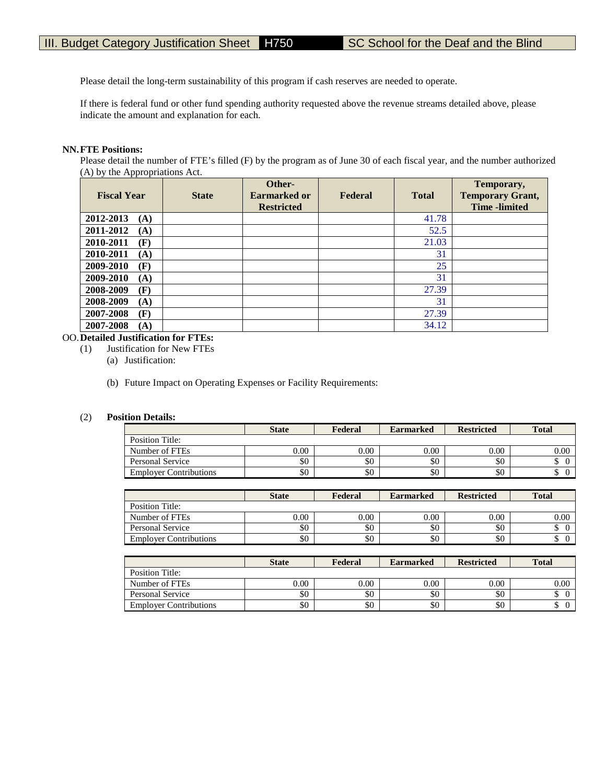Please detail the long-term sustainability of this program if cash reserves are needed to operate.

If there is federal fund or other fund spending authority requested above the revenue streams detailed above, please indicate the amount and explanation for each.

## **NN.FTE Positions:**

Please detail the number of FTE's filled (F) by the program as of June 30 of each fiscal year, and the number authorized (A) by the Appropriations Act.

| <b>Fiscal Year</b> | <b>State</b> | Other-<br>Earmarked or<br><b>Restricted</b> | Federal | <b>Total</b> | Temporary,<br><b>Temporary Grant,</b><br><b>Time</b> -limited |
|--------------------|--------------|---------------------------------------------|---------|--------------|---------------------------------------------------------------|
| 2012-2013<br>(A)   |              |                                             |         | 41.78        |                                                               |
| 2011-2012<br>(A)   |              |                                             |         | 52.5         |                                                               |
| 2010-2011<br>(F)   |              |                                             |         | 21.03        |                                                               |
| 2010-2011<br>(A)   |              |                                             |         | 31           |                                                               |
| 2009-2010<br>(F)   |              |                                             |         | 25           |                                                               |
| 2009-2010<br>(A)   |              |                                             |         | 31           |                                                               |
| 2008-2009<br>(F)   |              |                                             |         | 27.39        |                                                               |
| 2008-2009<br>(A)   |              |                                             |         | 31           |                                                               |
| 2007-2008<br>(F)   |              |                                             |         | 27.39        |                                                               |
| 2007-2008<br>(A)   |              |                                             |         | 34.12        |                                                               |

# OO.**Detailed Justification for FTEs:**

Justification for New FTEs

(a) Justification:

(b) Future Impact on Operating Expenses or Facility Requirements:

#### (2) **Position Details:**

|                               | <b>State</b> | Federal | <b>Earmarked</b> | <b>Restricted</b> | <b>Total</b> |
|-------------------------------|--------------|---------|------------------|-------------------|--------------|
| Position Title:               |              |         |                  |                   |              |
| Number of FTEs                | $0.00\,$     | 0.00    | 0.00             | 0.00              | 0.00         |
| Personal Service              | \$0          | \$0     | \$0              | \$0               | D            |
| <b>Employer Contributions</b> | \$0          | \$0     | \$0              | \$0               | D            |

|                               | <b>State</b> | Federal | <b>Earmarked</b> | <b>Restricted</b> | <b>Total</b> |
|-------------------------------|--------------|---------|------------------|-------------------|--------------|
| Position Title:               |              |         |                  |                   |              |
| Number of FTEs                | 0.00         | 0.00    | 0.00             | 0.00              | 0.00         |
| Personal Service              | \$0          | \$0     | \$0              | \$0               | Φ            |
| <b>Employer Contributions</b> | \$0          | \$0     | \$0              | \$0               | D            |

|                               | <b>State</b> | Federal | <b>Earmarked</b> | <b>Restricted</b> | <b>Total</b> |
|-------------------------------|--------------|---------|------------------|-------------------|--------------|
| Position Title:               |              |         |                  |                   |              |
| Number of FTEs                | 0.00         | 0.00    | 0.00             | 0.00              | 0.00         |
| Personal Service              | \$0          | \$0     | \$0              | \$0               |              |
| <b>Employer Contributions</b> | \$0          | \$0     | \$0              | \$0               | ╜            |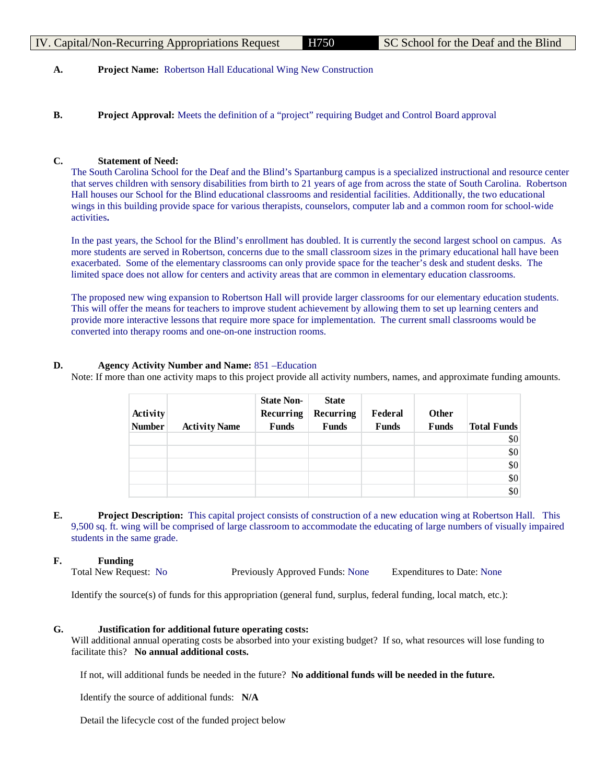# IV. Capital/Non-Recurring Appropriations Request H750 SC School for the Deaf and the Blind

# **A. Project Name:** Robertson Hall Educational Wing New Construction

**B. Project Approval:** Meets the definition of a "project" requiring Budget and Control Board approval

# **C. Statement of Need:**

The South Carolina School for the Deaf and the Blind's Spartanburg campus is a specialized instructional and resource center that serves children with sensory disabilities from birth to 21 years of age from across the state of South Carolina. Robertson Hall houses our School for the Blind educational classrooms and residential facilities. Additionally, the two educational wings in this building provide space for various therapists, counselors, computer lab and a common room for school-wide activities**.** 

In the past years, the School for the Blind's enrollment has doubled. It is currently the second largest school on campus. As more students are served in Robertson, concerns due to the small classroom sizes in the primary educational hall have been exacerbated. Some of the elementary classrooms can only provide space for the teacher's desk and student desks. The limited space does not allow for centers and activity areas that are common in elementary education classrooms.

The proposed new wing expansion to Robertson Hall will provide larger classrooms for our elementary education students. This will offer the means for teachers to improve student achievement by allowing them to set up learning centers and provide more interactive lessons that require more space for implementation. The current small classrooms would be converted into therapy rooms and one-on-one instruction rooms.

# **D. Agency Activity Number and Name:** 851 –Education

Note: If more than one activity maps to this project provide all activity numbers, names, and approximate funding amounts.

| Activity<br><b>Number</b> | <b>Activity Name</b> | <b>State Non-</b><br>Recurring<br><b>Funds</b> | <b>State</b><br>Recurring<br><b>Funds</b> | Federal<br><b>Funds</b> | <b>Other</b><br>Funds | <b>Total Funds</b> |
|---------------------------|----------------------|------------------------------------------------|-------------------------------------------|-------------------------|-----------------------|--------------------|
|                           |                      |                                                |                                           |                         |                       | \$0                |
|                           |                      |                                                |                                           |                         |                       | \$0                |
|                           |                      |                                                |                                           |                         |                       | \$0                |
|                           |                      |                                                |                                           |                         |                       | \$0                |
|                           |                      |                                                |                                           |                         |                       | \$0                |

**E. Project Description:** This capital project consists of construction of a new education wing at Robertson Hall. This 9,500 sq. ft. wing will be comprised of large classroom to accommodate the educating of large numbers of visually impaired students in the same grade.

# **F. Funding**

Total New Request: No Previously Approved Funds: None Expenditures to Date: None

Identify the source(s) of funds for this appropriation (general fund, surplus, federal funding, local match, etc.):

# **G. Justification for additional future operating costs:**

Will additional annual operating costs be absorbed into your existing budget? If so, what resources will lose funding to facilitate this? **No annual additional costs.** 

If not, will additional funds be needed in the future? **No additional funds will be needed in the future.**

Identify the source of additional funds: **N/A**

Detail the lifecycle cost of the funded project below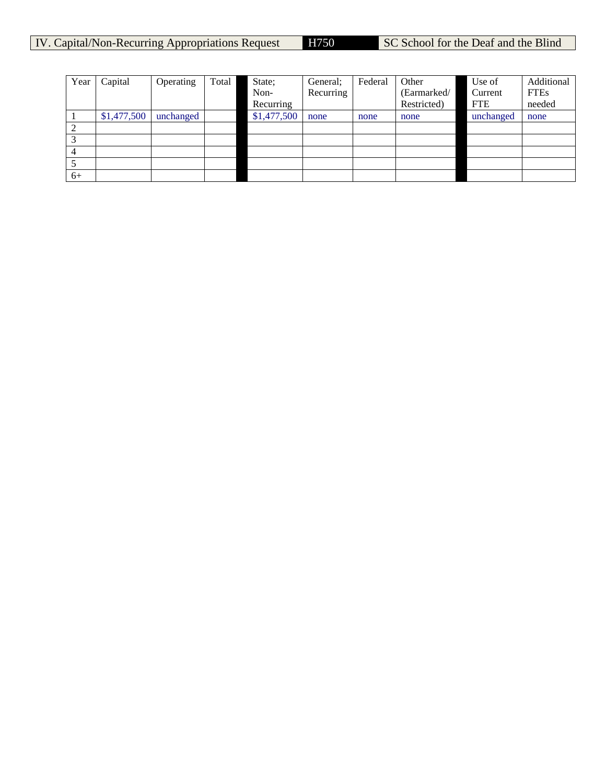| Year | Capital     | Operating | Total | State;      | General:  | Federal | Other       | Use of     | Additional  |
|------|-------------|-----------|-------|-------------|-----------|---------|-------------|------------|-------------|
|      |             |           |       | Non-        | Recurring |         | (Earmarked/ | Current    | <b>FTEs</b> |
|      |             |           |       | Recurring   |           |         | Restricted) | <b>FTE</b> | needed      |
|      | \$1,477,500 | unchanged |       | \$1,477,500 | none      | none    | none        | unchanged  | none        |
|      |             |           |       |             |           |         |             |            |             |
|      |             |           |       |             |           |         |             |            |             |
| 4    |             |           |       |             |           |         |             |            |             |
|      |             |           |       |             |           |         |             |            |             |
| $6+$ |             |           |       |             |           |         |             |            |             |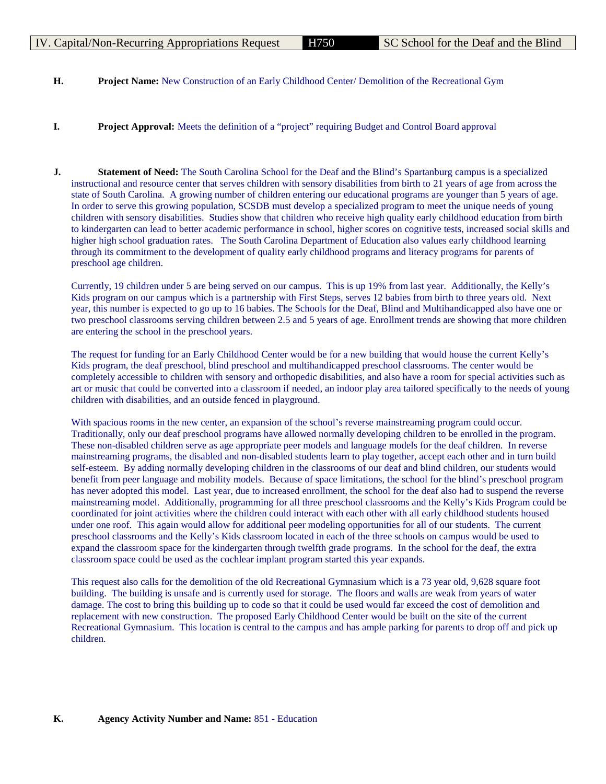- **H. Project Name:** New Construction of an Early Childhood Center/ Demolition of the Recreational Gym
- **I. Project Approval:** Meets the definition of a "project" requiring Budget and Control Board approval
- **J. Statement of Need:** The South Carolina School for the Deaf and the Blind's Spartanburg campus is a specialized instructional and resource center that serves children with sensory disabilities from birth to 21 years of age from across the state of South Carolina. A growing number of children entering our educational programs are younger than 5 years of age. In order to serve this growing population, SCSDB must develop a specialized program to meet the unique needs of young children with sensory disabilities. Studies show that children who receive high quality early childhood education from birth to kindergarten can lead to better academic performance in school, higher scores on cognitive tests, increased social skills and higher high school graduation rates. The South Carolina Department of Education also values early childhood learning through its commitment to the development of quality early childhood programs and literacy programs for parents of preschool age children.

Currently, 19 children under 5 are being served on our campus. This is up 19% from last year. Additionally, the Kelly's Kids program on our campus which is a partnership with First Steps, serves 12 babies from birth to three years old. Next year, this number is expected to go up to 16 babies. The Schools for the Deaf, Blind and Multihandicapped also have one or two preschool classrooms serving children between 2.5 and 5 years of age. Enrollment trends are showing that more children are entering the school in the preschool years.

The request for funding for an Early Childhood Center would be for a new building that would house the current Kelly's Kids program, the deaf preschool, blind preschool and multihandicapped preschool classrooms. The center would be completely accessible to children with sensory and orthopedic disabilities, and also have a room for special activities such as art or music that could be converted into a classroom if needed, an indoor play area tailored specifically to the needs of young children with disabilities, and an outside fenced in playground.

With spacious rooms in the new center, an expansion of the school's reverse mainstreaming program could occur. Traditionally, only our deaf preschool programs have allowed normally developing children to be enrolled in the program. These non-disabled children serve as age appropriate peer models and language models for the deaf children. In reverse mainstreaming programs, the disabled and non-disabled students learn to play together, accept each other and in turn build self-esteem. By adding normally developing children in the classrooms of our deaf and blind children, our students would benefit from peer language and mobility models. Because of space limitations, the school for the blind's preschool program has never adopted this model. Last year, due to increased enrollment, the school for the deaf also had to suspend the reverse mainstreaming model. Additionally, programming for all three preschool classrooms and the Kelly's Kids Program could be coordinated for joint activities where the children could interact with each other with all early childhood students housed under one roof. This again would allow for additional peer modeling opportunities for all of our students. The current preschool classrooms and the Kelly's Kids classroom located in each of the three schools on campus would be used to expand the classroom space for the kindergarten through twelfth grade programs. In the school for the deaf, the extra classroom space could be used as the cochlear implant program started this year expands.

This request also calls for the demolition of the old Recreational Gymnasium which is a 73 year old, 9,628 square foot building. The building is unsafe and is currently used for storage. The floors and walls are weak from years of water damage. The cost to bring this building up to code so that it could be used would far exceed the cost of demolition and replacement with new construction. The proposed Early Childhood Center would be built on the site of the current Recreational Gymnasium. This location is central to the campus and has ample parking for parents to drop off and pick up children.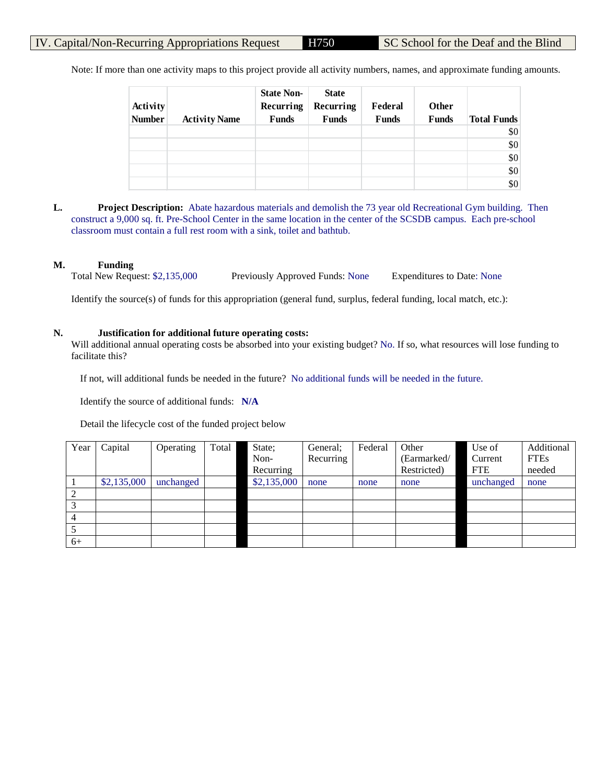Note: If more than one activity maps to this project provide all activity numbers, names, and approximate funding amounts.

| Activity<br><b>Number</b> | <b>Activity Name</b> | <b>State Non-</b><br>Recurring<br><b>Funds</b> | <b>State</b><br>Recurring<br><b>Funds</b> | Federal<br><b>Funds</b> | <b>Other</b><br><b>Funds</b> | <b>Total Funds</b> |
|---------------------------|----------------------|------------------------------------------------|-------------------------------------------|-------------------------|------------------------------|--------------------|
|                           |                      |                                                |                                           |                         |                              | \$0                |
|                           |                      |                                                |                                           |                         |                              | \$0                |
|                           |                      |                                                |                                           |                         |                              | \$0                |
|                           |                      |                                                |                                           |                         |                              | \$0                |
|                           |                      |                                                |                                           |                         |                              | \$0                |

**L. Project Description:** Abate hazardous materials and demolish the 73 year old Recreational Gym building. Then construct a 9,000 sq. ft. Pre-School Center in the same location in the center of the SCSDB campus. Each pre-school classroom must contain a full rest room with a sink, toilet and bathtub.

#### **M. Funding**

Total New Request: \$2,135,000 Previously Approved Funds: None Expenditures to Date: None

Identify the source(s) of funds for this appropriation (general fund, surplus, federal funding, local match, etc.):

## **N. Justification for additional future operating costs:**

Will additional annual operating costs be absorbed into your existing budget? No. If so, what resources will lose funding to facilitate this?

If not, will additional funds be needed in the future? No additional funds will be needed in the future.

Identify the source of additional funds: **N/A**

Detail the lifecycle cost of the funded project below

| Year                   | Capital     | Operating | Total | State;      | General;  | Federal | Other       | Use of     | Additional  |
|------------------------|-------------|-----------|-------|-------------|-----------|---------|-------------|------------|-------------|
|                        |             |           |       | Non-        | Recurring |         | (Earmarked/ | Current    | <b>FTEs</b> |
|                        |             |           |       | Recurring   |           |         | Restricted) | <b>FTE</b> | needed      |
|                        | \$2,135,000 | unchanged |       | \$2,135,000 | none      | none    | none        | unchanged  | none        |
| 2                      |             |           |       |             |           |         |             |            |             |
| $\mathbf{\mathcal{R}}$ |             |           |       |             |           |         |             |            |             |
| 4                      |             |           |       |             |           |         |             |            |             |
|                        |             |           |       |             |           |         |             |            |             |
| $6+$                   |             |           |       |             |           |         |             |            |             |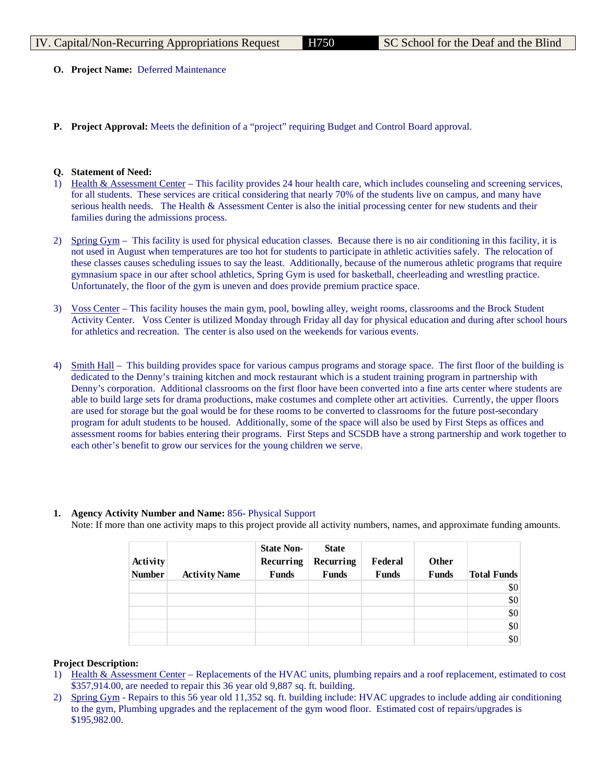- **O. Project Name:** Deferred Maintenance
- **P. Project Approval:** Meets the definition of a "project" requiring Budget and Control Board approval.

#### **Q. Statement of Need:**

- 1) Health & Assessment Center This facility provides 24 hour health care, which includes counseling and screening services, for all students. These services are critical considering that nearly 70% of the students live on campus, and many have serious health needs. The Health & Assessment Center is also the initial processing center for new students and their families during the admissions process.
- 2) Spring Gym This facility is used for physical education classes. Because there is no air conditioning in this facility, it is not used in August when temperatures are too hot for students to participate in athletic activities safely. The relocation of these classes causes scheduling issues to say the least. Additionally, because of the numerous athletic programs that require gymnasium space in our after school athletics, Spring Gym is used for basketball, cheerleading and wrestling practice. Unfortunately, the floor of the gym is uneven and does provide premium practice space.
- 3) Voss Center This facility houses the main gym, pool, bowling alley, weight rooms, classrooms and the Brock Student Activity Center. Voss Center is utilized Monday through Friday all day for physical education and during after school hours for athletics and recreation. The center is also used on the weekends for various events.
- 4) Smith Hall This building provides space for various campus programs and storage space. The first floor of the building is dedicated to the Denny's training kitchen and mock restaurant which is a student training program in partnership with Denny's corporation. Additional classrooms on the first floor have been converted into a fine arts center where students are able to build large sets for drama productions, make costumes and complete other art activities. Currently, the upper floors are used for storage but the goal would be for these rooms to be converted to classrooms for the future post-secondary program for adult students to be housed. Additionally, some of the space will also be used by First Steps as offices and assessment rooms for babies entering their programs. First Steps and SCSDB have a strong partnership and work together to each other's benefit to grow our services for the young children we serve.

#### **1. Agency Activity Number and Name:** 856- Physical Support

Note: If more than one activity maps to this project provide all activity numbers, names, and approximate funding amounts.

| Activity<br><b>Number</b> | <b>Activity Name</b> | <b>State Non-</b><br>Recurring<br><b>Funds</b> | <b>State</b><br>Recurring<br><b>Funds</b> | Federal<br><b>Funds</b> | Other<br><b>Funds</b> | <b>Total Funds</b> |
|---------------------------|----------------------|------------------------------------------------|-------------------------------------------|-------------------------|-----------------------|--------------------|
|                           |                      |                                                |                                           |                         |                       | \$0                |
|                           |                      |                                                |                                           |                         |                       | \$0                |
|                           |                      |                                                |                                           |                         |                       | \$0                |
|                           |                      |                                                |                                           |                         |                       | \$0                |
|                           |                      |                                                |                                           |                         |                       | \$0                |

#### **Project Description:**

- 1) Health & Assessment Center Replacements of the HVAC units, plumbing repairs and a roof replacement, estimated to cost \$357,914.00, are needed to repair this 36 year old 9,887 sq. ft. building.
- 2) Spring Gym Repairs to this 56 year old 11,352 sq. ft. building include: HVAC upgrades to include adding air conditioning to the gym, Plumbing upgrades and the replacement of the gym wood floor. Estimated cost of repairs/upgrades is \$195,982.00.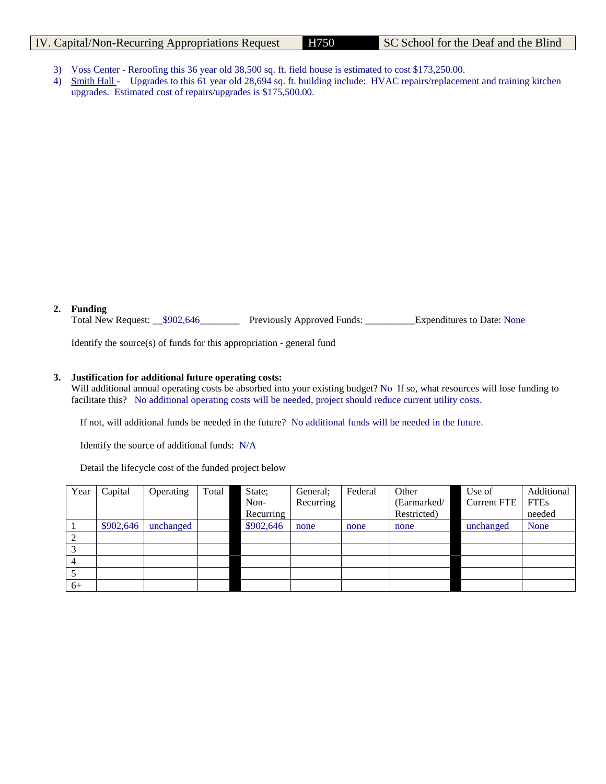# IV. Capital/Non-Recurring Appropriations Request H750 SC School for the Deaf and the Blind

- 3) Voss Center Reroofing this 36 year old 38,500 sq. ft. field house is estimated to cost \$173,250.00.
- 4) Smith Hall Upgrades to this 61 year old 28,694 sq. ft. building include: HVAC repairs/replacement and training kitchen upgrades. Estimated cost of repairs/upgrades is \$175,500.00.

## **2. Funding**

Total New Request: \_\_\$902,646\_\_\_\_\_\_\_\_ Previously Approved Funds: \_\_\_\_\_\_\_\_\_\_Expenditures to Date: None

Identify the source(s) of funds for this appropriation - general fund

## **3. Justification for additional future operating costs:**

Will additional annual operating costs be absorbed into your existing budget? No If so, what resources will lose funding to facilitate this? No additional operating costs will be needed, project should reduce current utility costs.

If not, will additional funds be needed in the future? No additional funds will be needed in the future.

Identify the source of additional funds: N/A

Detail the lifecycle cost of the funded project below

| Year | Capital   | Operating | Total | State;    | General:  | Federal | Other       | Use of             | Additional  |
|------|-----------|-----------|-------|-----------|-----------|---------|-------------|--------------------|-------------|
|      |           |           |       | Non-      | Recurring |         | (Earmarked/ | <b>Current FTE</b> | <b>FTEs</b> |
|      |           |           |       | Recurring |           |         | Restricted) |                    | needed      |
|      | \$902,646 | unchanged |       | \$902,646 | none      | none    | none        | unchanged          | None        |
| 2    |           |           |       |           |           |         |             |                    |             |
| 3    |           |           |       |           |           |         |             |                    |             |
| 4    |           |           |       |           |           |         |             |                    |             |
|      |           |           |       |           |           |         |             |                    |             |
| $6+$ |           |           |       |           |           |         |             |                    |             |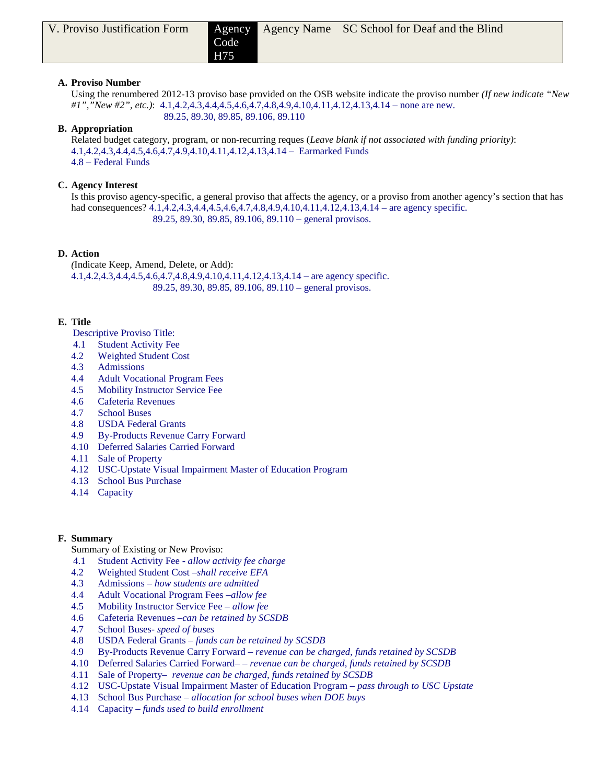H75

# **A. Proviso Number**

Using the renumbered 2012-13 proviso base provided on the OSB website indicate the proviso number *(If new indicate "New #1","New #2", etc.)*: 4.1,4.2,4.3,4.4,4.5,4.6,4.7,4.8,4.9,4.10,4.11,4.12,4.13,4.14 – none are new. 89.25, 89.30, 89.85, 89.106, 89.110

# **B. Appropriation**

Related budget category, program, or non-recurring reques (*Leave blank if not associated with funding priority)*: 4.1,4.2,4.3,4.4,4.5,4.6,4.7,4.9,4.10,4.11,4.12,4.13,4.14 – Earmarked Funds 4.8 – Federal Funds

# **C. Agency Interest**

Is this proviso agency-specific, a general proviso that affects the agency, or a proviso from another agency's section that has had consequences? 4.1,4.2,4.3,4.4,4.5,4.6,4.7,4.8,4.9,4.10,4.11,4.12,4.13,4.14 – are agency specific. 89.25, 89.30, 89.85, 89.106, 89.110 – general provisos.

# **D. Action**

*(*Indicate Keep, Amend, Delete, or Add): 4.1,4.2,4.3,4.4,4.5,4.6,4.7,4.8,4.9,4.10,4.11,4.12,4.13,4.14 – are agency specific. 89.25, 89.30, 89.85, 89.106, 89.110 – general provisos.

# **E. Title**

- Descriptive Proviso Title:
- 4.1 Student Activity Fee
- 4.2 Weighted Student Cost
- 4.3 Admissions
- 4.4 Adult Vocational Program Fees
- 4.5 Mobility Instructor Service Fee
- 4.6 Cafeteria Revenues
- 4.7 School Buses
- 4.8 USDA Federal Grants
- 4.9 By-Products Revenue Carry Forward
- 4.10 Deferred Salaries Carried Forward
- 4.11 Sale of Property
- 4.12 USC-Upstate Visual Impairment Master of Education Program
- 4.13 School Bus Purchase
- 4.14 Capacity

# **F. Summary**

- Summary of Existing or New Proviso:
- 4.1 Student Activity Fee *allow activity fee charge*
- 4.2 Weighted Student Cost –*shall receive EFA*
- 4.3 Admissions *– how students are admitted*
- 4.4 Adult Vocational Program Fees *–allow fee*
- 4.5 Mobility Instructor Service Fee *allow fee*
- 4.6 Cafeteria Revenues –*can be retained by SCSDB*
- 4.7 School Buses*- speed of buses*
- 4.8 USDA Federal Grants *funds can be retained by SCSDB*
- 4.9 By-Products Revenue Carry Forward *revenue can be charged, funds retained by SCSDB*
- 4.10 Deferred Salaries Carried Forward– *revenue can be charged, funds retained by SCSDB*
- 4.11 Sale of Property– *revenue can be charged, funds retained by SCSDB*
- 4.12 USC-Upstate Visual Impairment Master of Education Program *– pass through to USC Upstate*
- 4.13 School Bus Purchase *– allocation for school buses when DOE buys*
- 4.14 Capacity *– funds used to build enrollment*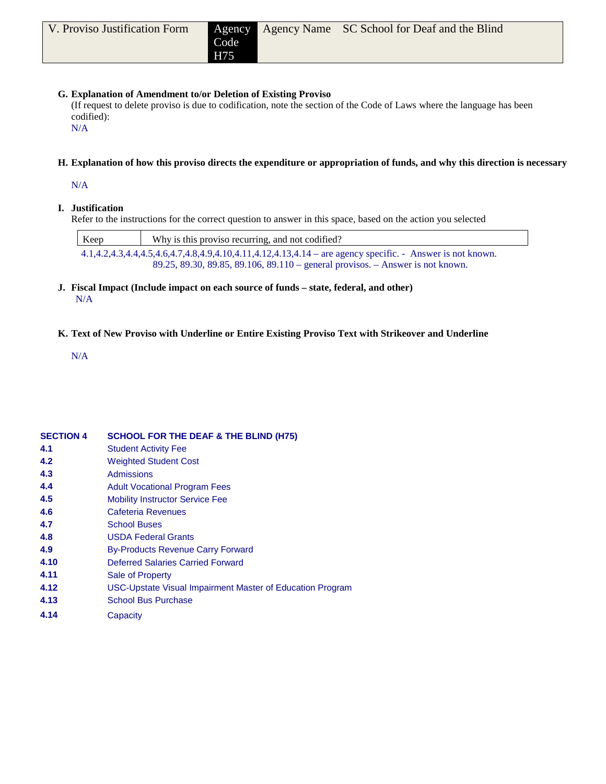# **G. Explanation of Amendment to/or Deletion of Existing Proviso**

(If request to delete proviso is due to codification, note the section of the Code of Laws where the language has been codified):

N/A

# **H. Explanation of how this proviso directs the expenditure or appropriation of funds, and why this direction is necessary**

N/A

# **I. Justification**

Refer to the instructions for the correct question to answer in this space, based on the action you selected

| Keep | Why is this proviso recurring, and not codified?                                                             |
|------|--------------------------------------------------------------------------------------------------------------|
|      | $4.1,4.2,4.3,4.4,4.5,4.6,4.7,4.8,4.9,4.10,4.11,4.12,4.13,4.14$ – are agency specific. - Answer is not known. |
|      | 89.25, 89.30, 89.85, 89.106, 89.110 – general provisos. – Answer is not known.                               |

**J. Fiscal Impact (Include impact on each source of funds – state, federal, and other)** N/A

# **K. Text of New Proviso with Underline or Entire Existing Proviso Text with Strikeover and Underline**

N/A

| <b>SECTION 4</b> | <b>SCHOOL FOR THE DEAF &amp; THE BLIND (H75)</b>          |
|------------------|-----------------------------------------------------------|
| 4.1              | <b>Student Activity Fee</b>                               |
| 4.2              | <b>Weighted Student Cost</b>                              |
| 4.3              | <b>Admissions</b>                                         |
| 4.4              | <b>Adult Vocational Program Fees</b>                      |
| 4.5              | <b>Mobility Instructor Service Fee</b>                    |
| 4.6              | Cafeteria Revenues                                        |
| 4.7              | <b>School Buses</b>                                       |
| 4.8              | <b>USDA Federal Grants</b>                                |
| 4.9              | <b>By-Products Revenue Carry Forward</b>                  |
| 4.10             | Deferred Salaries Carried Forward                         |
| 4.11             | Sale of Property                                          |
| 4.12             | USC-Upstate Visual Impairment Master of Education Program |
| 4.13             | <b>School Bus Purchase</b>                                |
| 4.14             | Capacity                                                  |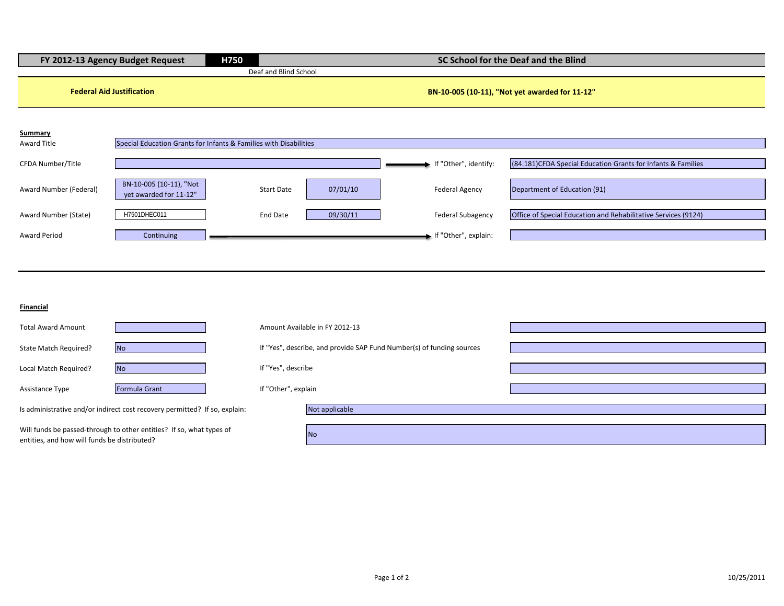| FY 2012-13 Agency Budget Request |                                                                   | H750                  |          |                          | SC School for the Deaf and the Blind                           |
|----------------------------------|-------------------------------------------------------------------|-----------------------|----------|--------------------------|----------------------------------------------------------------|
|                                  |                                                                   | Deaf and Blind School |          |                          |                                                                |
| <b>Federal Aid Justification</b> |                                                                   |                       |          |                          | BN-10-005 (10-11), "Not yet awarded for 11-12"                 |
| <b>Summary</b>                   |                                                                   |                       |          |                          |                                                                |
| Award Title                      | Special Education Grants for Infants & Families with Disabilities |                       |          |                          |                                                                |
| CFDA Number/Title                |                                                                   |                       |          | If "Other", identify:    | (84.181) CFDA Special Education Grants for Infants & Families  |
| Award Number (Federal)           | BN-10-005 (10-11), "Not<br>vet awarded for 11-12"                 | <b>Start Date</b>     | 07/01/10 | <b>Federal Agency</b>    | Department of Education (91)                                   |
| Award Number (State)             | H7501DHEC011                                                      | End Date              | 09/30/11 | <b>Federal Subagency</b> | Office of Special Education and Rehabilitative Services (9124) |
| <b>Award Period</b>              | Continuing                                                        |                       |          | If "Other", explain:     |                                                                |

**Financial**

| <b>Total Award Amount</b>                                                                                            |                      |                     | Amount Available in FY 2012-13                                        |  |
|----------------------------------------------------------------------------------------------------------------------|----------------------|---------------------|-----------------------------------------------------------------------|--|
| State Match Required?                                                                                                | <b>No</b>            |                     | If "Yes", describe, and provide SAP Fund Number(s) of funding sources |  |
| Local Match Required?                                                                                                | <b>No</b>            | If "Yes", describe  |                                                                       |  |
| Assistance Type                                                                                                      | <b>Formula Grant</b> | If "Other", explain |                                                                       |  |
| Is administrative and/or indirect cost recovery permitted? If so, explain:                                           |                      |                     | Not applicable                                                        |  |
| Will funds be passed-through to other entities? If so, what types of<br>entities, and how will funds be distributed? |                      |                     | <b>No</b>                                                             |  |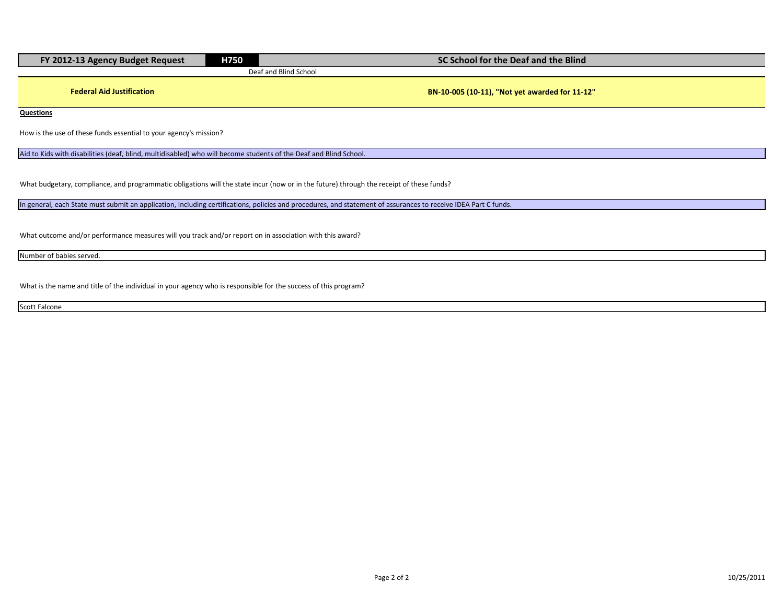| FY 2012-13 Agency Budget Request                                                                                                         | H750 | SC School for the Deaf and the Blind                                                                                                                            |  |  |
|------------------------------------------------------------------------------------------------------------------------------------------|------|-----------------------------------------------------------------------------------------------------------------------------------------------------------------|--|--|
|                                                                                                                                          |      | Deaf and Blind School                                                                                                                                           |  |  |
| <b>Federal Aid Justification</b>                                                                                                         |      | BN-10-005 (10-11), "Not yet awarded for 11-12"                                                                                                                  |  |  |
| Questions                                                                                                                                |      |                                                                                                                                                                 |  |  |
| How is the use of these funds essential to your agency's mission?                                                                        |      |                                                                                                                                                                 |  |  |
| Aid to Kids with disabilities (deaf, blind, multidisabled) who will become students of the Deaf and Blind School.                        |      |                                                                                                                                                                 |  |  |
| What budgetary, compliance, and programmatic obligations will the state incur (now or in the future) through the receipt of these funds? |      |                                                                                                                                                                 |  |  |
|                                                                                                                                          |      | In general, each State must submit an application, including certifications, policies and procedures, and statement of assurances to receive IDEA Part C funds. |  |  |
|                                                                                                                                          |      |                                                                                                                                                                 |  |  |

What outcome and/or performance measures will you track and/or report on in association with this award?

Number of babies served.

What is the name and title of the individual in your agency who is responsible for the success of this program?

Scott Falcone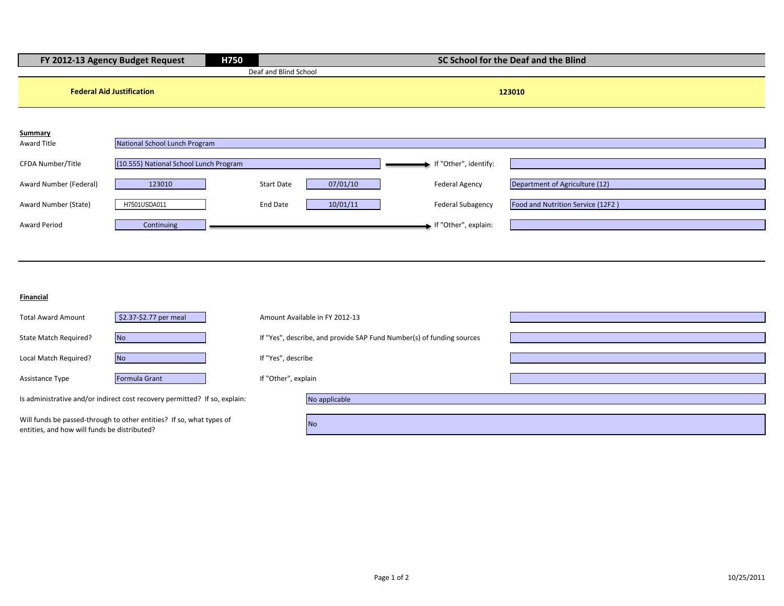| FY 2012-13 Agency Budget Request |                                        | H750              | SC School for the Deaf and the Blind |          |                                                                       |                       |                                   |
|----------------------------------|----------------------------------------|-------------------|--------------------------------------|----------|-----------------------------------------------------------------------|-----------------------|-----------------------------------|
|                                  |                                        |                   | Deaf and Blind School                |          |                                                                       |                       |                                   |
|                                  | <b>Federal Aid Justification</b>       |                   |                                      |          |                                                                       |                       | 123010                            |
| Summary<br>Award Title           | National School Lunch Program          |                   |                                      |          |                                                                       |                       |                                   |
| CFDA Number/Title                | (10.555) National School Lunch Program |                   |                                      |          |                                                                       | If "Other", identify: |                                   |
| Award Number (Federal)           | 123010                                 | <b>Start Date</b> |                                      | 07/01/10 | <b>Federal Agency</b>                                                 |                       | Department of Agriculture (12)    |
| Award Number (State)             | H7501USDA011                           | <b>End Date</b>   |                                      | 10/01/11 |                                                                       | Federal Subagency     | Food and Nutrition Service (12F2) |
| <b>Award Period</b>              | Continuing                             |                   |                                      |          |                                                                       | If "Other", explain:  |                                   |
|                                  |                                        |                   |                                      |          |                                                                       |                       |                                   |
|                                  |                                        |                   |                                      |          |                                                                       |                       |                                   |
| <b>Financial</b>                 |                                        |                   |                                      |          |                                                                       |                       |                                   |
| <b>Total Award Amount</b>        | \$2.37-\$2.77 per meal                 |                   | Amount Available in FY 2012-13       |          |                                                                       |                       |                                   |
| State Match Required?            | <b>No</b>                              |                   |                                      |          | If "Yes", describe, and provide SAP Fund Number(s) of funding sources |                       |                                   |

| <b>Total Award Amount</b>                                                                                            | \$2.37-\$2.77 per meal                                                     | Amount Available in FY 2012-13                                        |               |  |
|----------------------------------------------------------------------------------------------------------------------|----------------------------------------------------------------------------|-----------------------------------------------------------------------|---------------|--|
| State Match Required?                                                                                                | N <sub>o</sub>                                                             | If "Yes", describe, and provide SAP Fund Number(s) of funding sources |               |  |
| Local Match Required?                                                                                                | <b>No</b>                                                                  | If "Yes", describe                                                    |               |  |
| Assistance Type                                                                                                      | Formula Grant                                                              | If "Other", explain                                                   |               |  |
|                                                                                                                      | Is administrative and/or indirect cost recovery permitted? If so, explain: |                                                                       | No applicable |  |
| Will funds be passed-through to other entities? If so, what types of<br>entities, and how will funds be distributed? |                                                                            |                                                                       | <b>No</b>     |  |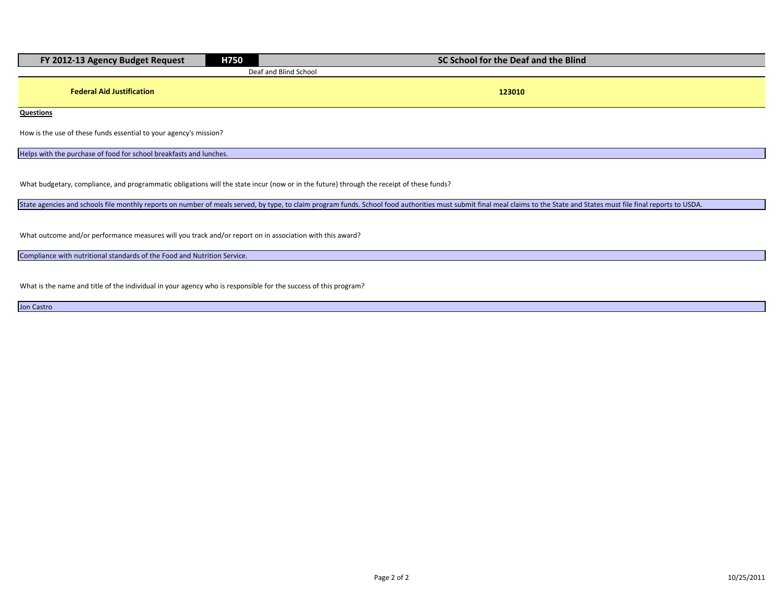| FY 2012-13 Agency Budget Request                                   | H750 | SC School for the Deaf and the Blind |  |  |
|--------------------------------------------------------------------|------|--------------------------------------|--|--|
|                                                                    |      | Deaf and Blind School                |  |  |
| <b>Federal Aid Justification</b>                                   |      | 123010                               |  |  |
| <b>Questions</b>                                                   |      |                                      |  |  |
| How is the use of these funds essential to your agency's mission?  |      |                                      |  |  |
| Helps with the purchase of food for school breakfasts and lunches. |      |                                      |  |  |

What budgetary, compliance, and programmatic obligations will the state incur (now or in the future) through the receipt of these funds?

State agencies and schools file monthly reports on number of meals served, by type, to claim program funds. School food authorities must submit final meal claims to the State and States must file final reports to USDA.

What outcome and/or performance measures will you track and/or report on in association with this award?

Compliance with nutritional standards of the Food and Nutrition Service.

What is the name and title of the individual in your agency who is responsible for the success of this program?

Jon Castro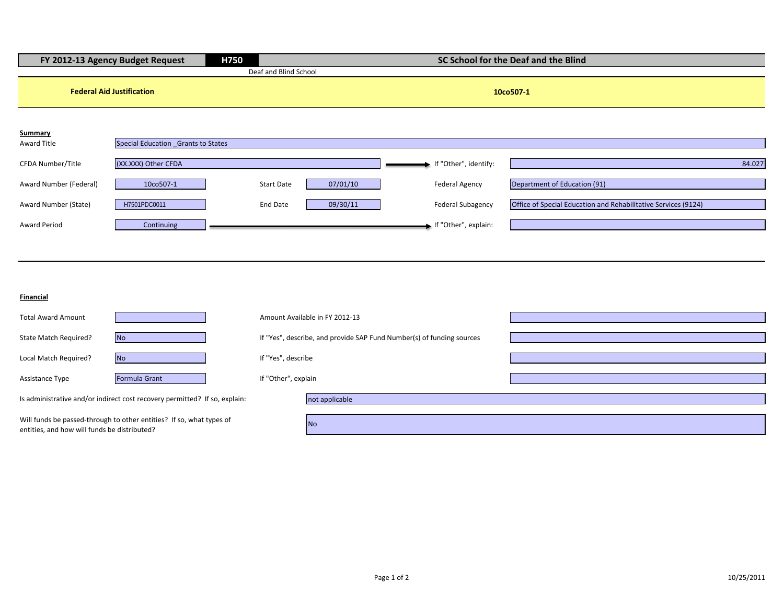| H750<br>FY 2012-13 Agency Budget Request |                                                                            |                     | SC School for the Deaf and the Blind                                  |                       |                                                                |  |
|------------------------------------------|----------------------------------------------------------------------------|---------------------|-----------------------------------------------------------------------|-----------------------|----------------------------------------------------------------|--|
|                                          |                                                                            |                     | Deaf and Blind School                                                 |                       |                                                                |  |
|                                          | <b>Federal Aid Justification</b>                                           |                     |                                                                       |                       | 10co507-1                                                      |  |
| <b>Summary</b>                           |                                                                            |                     |                                                                       |                       |                                                                |  |
| Award Title                              | Special Education Grants to States                                         |                     |                                                                       |                       |                                                                |  |
| CFDA Number/Title                        | (XX.XXX) Other CFDA                                                        |                     |                                                                       | If "Other", identify: | 84.027                                                         |  |
| Award Number (Federal)                   | 10co507-1                                                                  |                     | 07/01/10<br><b>Start Date</b>                                         | Federal Agency        | Department of Education (91)                                   |  |
| Award Number (State)                     | H7501PDC0011                                                               |                     | 09/30/11<br><b>End Date</b>                                           | Federal Subagency     | Office of Special Education and Rehabilitative Services (9124) |  |
| <b>Award Period</b>                      | Continuing                                                                 |                     |                                                                       | If "Other", explain:  |                                                                |  |
|                                          |                                                                            |                     |                                                                       |                       |                                                                |  |
|                                          |                                                                            |                     |                                                                       |                       |                                                                |  |
| Financial                                |                                                                            |                     |                                                                       |                       |                                                                |  |
| <b>Total Award Amount</b>                |                                                                            |                     | Amount Available in FY 2012-13                                        |                       |                                                                |  |
| State Match Required?                    | <b>No</b>                                                                  |                     | If "Yes", describe, and provide SAP Fund Number(s) of funding sources |                       |                                                                |  |
| Local Match Required?                    | <b>No</b>                                                                  |                     | If "Yes", describe                                                    |                       |                                                                |  |
| Assistance Type                          | Formula Grant                                                              | If "Other", explain |                                                                       |                       |                                                                |  |
|                                          | Is administrative and/or indirect cost recovery permitted? If so, explain: |                     | not applicable                                                        |                       |                                                                |  |

Will funds be passed-through to other entities? If so, what types of entities, and how will funds be distributed?

No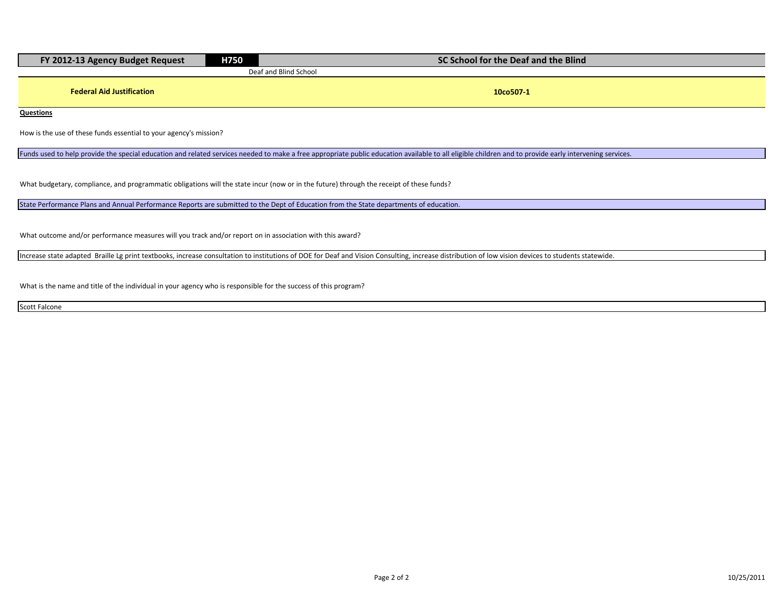| FY 2012-13 Agency Budget Request | H750 | SC School for the Deaf and the Blind |  |  |
|----------------------------------|------|--------------------------------------|--|--|
|                                  |      | Deaf and Blind School                |  |  |
|                                  |      |                                      |  |  |
| <b>Federal Aid Justification</b> |      | 10co507-                             |  |  |

**Questions**

How is the use of these funds essential to your agency's mission?

Funds used to help provide the special education and related services needed to make a free appropriate public education available to all eligible children and to provide early intervening services.

What budgetary, compliance, and programmatic obligations will the state incur (now or in the future) through the receipt of these funds?

State Performance Plans and Annual Performance Reports are submitted to the Dept of Education from the State departments of education.

What outcome and/or performance measures will you track and/or report on in association with this award?

Increase state adapted Braille Lg print textbooks, increase consultation to institutions of DOE for Deaf and Vision Consulting, increase distribution of low vision devices to students statewide.

What is the name and title of the individual in your agency who is responsible for the success of this program?

Scott Falcone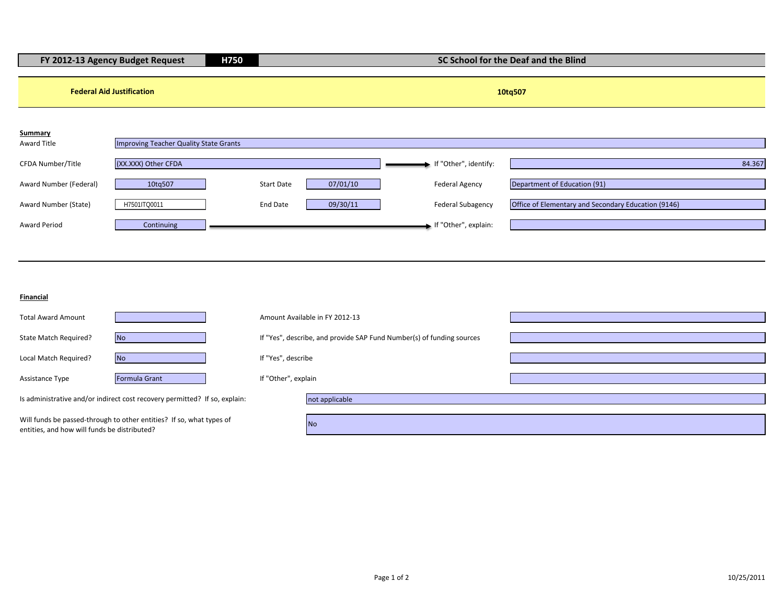| H750<br>FY 2012-13 Agency Budget Request                                                                      |                                                                                                        |  | SC School for the Deaf and the Blind                  |                                                                                                    |                                                                                     |        |
|---------------------------------------------------------------------------------------------------------------|--------------------------------------------------------------------------------------------------------|--|-------------------------------------------------------|----------------------------------------------------------------------------------------------------|-------------------------------------------------------------------------------------|--------|
| <b>Federal Aid Justification</b>                                                                              |                                                                                                        |  |                                                       |                                                                                                    | 10tq507                                                                             |        |
| Summary<br>Award Title<br>CFDA Number/Title<br>Award Number (Federal)<br>Award Number (State)<br>Award Period | Improving Teacher Quality State Grants<br>(XX.XXX) Other CFDA<br>10tq507<br>H7501ITQ0011<br>Continuing |  | <b>Start Date</b><br>07/01/10<br>09/30/11<br>End Date | If "Other", identify:<br><b>Federal Agency</b><br><b>Federal Subagency</b><br>If "Other", explain: | Department of Education (91)<br>Office of Elementary and Secondary Education (9146) | 84.367 |
| Financial                                                                                                     |                                                                                                        |  |                                                       |                                                                                                    |                                                                                     |        |
| <b>Total Award Amount</b><br>State Match Required?                                                            | <b>No</b>                                                                                              |  | Amount Available in FY 2012-13                        | If "Yes", describe, and provide SAP Fund Number(s) of funding sources                              |                                                                                     |        |
| Local Match Required?<br>Assistance Type                                                                      | <b>No</b><br>Formula Grant                                                                             |  | If "Yes", describe<br>If "Other", explain             |                                                                                                    |                                                                                     |        |
|                                                                                                               | Is administrative and/or indirect cost recovery permitted? If so, explain:                             |  | not applicable                                        |                                                                                                    |                                                                                     |        |

Will funds be passed-through to other entities? If so, what types of entities, and how will funds be distributed?

No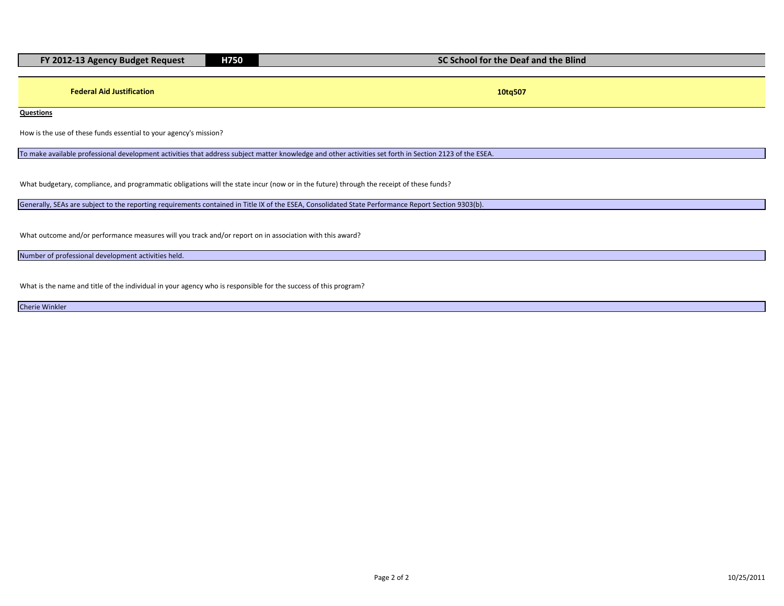|  | FY 2012-13 Agency Budget Request | H750 | SC School for the Deaf and the Blind |
|--|----------------------------------|------|--------------------------------------|
|--|----------------------------------|------|--------------------------------------|

**Federal Aid Justification 10tq507**

**Questions**

How is the use of these funds essential to your agency's mission?

To make available professional development activities that address subject matter knowledge and other activities set forth in Section 2123 of the ESEA.

What budgetary, compliance, and programmatic obligations will the state incur (now or in the future) through the receipt of these funds?

Generally, SEAs are subject to the reporting requirements contained in Title IX of the ESEA, Consolidated State Performance Report Section 9303(b).

What outcome and/or performance measures will you track and/or report on in association with this award?

Number of professional development activities held.

What is the name and title of the individual in your agency who is responsible for the success of this program?

Cherie Winkler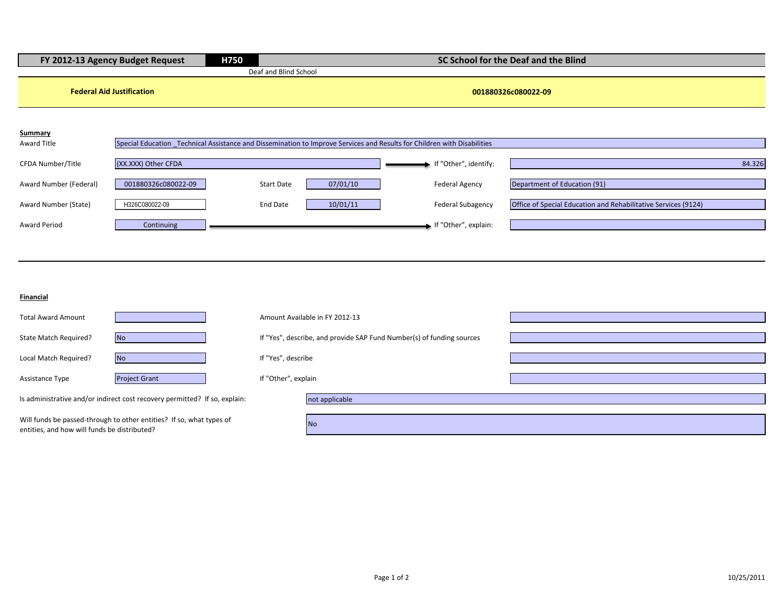| H750<br>FY 2012-13 Agency Budget Request |                                  |                       | SC School for the Deaf and the Blind                                  |                                                                                                                          |                                                                |  |
|------------------------------------------|----------------------------------|-----------------------|-----------------------------------------------------------------------|--------------------------------------------------------------------------------------------------------------------------|----------------------------------------------------------------|--|
|                                          |                                  | Deaf and Blind School |                                                                       |                                                                                                                          |                                                                |  |
|                                          | <b>Federal Aid Justification</b> |                       |                                                                       |                                                                                                                          | 001880326c080022-09                                            |  |
| <b>Summary</b><br>Award Title            |                                  |                       |                                                                       | Special Education _Technical Assistance and Dissemination to Improve Services and Results for Children with Disabilities |                                                                |  |
| CFDA Number/Title                        | (XX.XXX) Other CFDA              |                       |                                                                       | If "Other", identify:                                                                                                    | 84.326                                                         |  |
| Award Number (Federal)                   | 001880326c080022-09              | <b>Start Date</b>     | 07/01/10                                                              | <b>Federal Agency</b>                                                                                                    | Department of Education (91)                                   |  |
| Award Number (State)                     | H326C080022-09                   | <b>End Date</b>       | 10/01/11                                                              | <b>Federal Subagency</b>                                                                                                 | Office of Special Education and Rehabilitative Services (9124) |  |
| <b>Award Period</b>                      | Continuing                       |                       |                                                                       | If "Other", explain:                                                                                                     |                                                                |  |
|                                          |                                  |                       |                                                                       |                                                                                                                          |                                                                |  |
|                                          |                                  |                       |                                                                       |                                                                                                                          |                                                                |  |
| Financial                                |                                  |                       |                                                                       |                                                                                                                          |                                                                |  |
| <b>Total Award Amount</b>                |                                  |                       | Amount Available in FY 2012-13                                        |                                                                                                                          |                                                                |  |
| State Match Required?                    | <b>No</b>                        |                       | If "Yes", describe, and provide SAP Fund Number(s) of funding sources |                                                                                                                          |                                                                |  |
| Local Match Required?                    | <b>No</b>                        | If "Yes", describe    |                                                                       |                                                                                                                          |                                                                |  |
|                                          |                                  |                       |                                                                       |                                                                                                                          |                                                                |  |
| Assistance Type                          | <b>Project Grant</b>             | If "Other", explain   |                                                                       |                                                                                                                          |                                                                |  |

Is administrative and/or indirect cost recovery permitted? If so, explain:

Will funds be passed-through to other entities? If so, what types of entities, and how will funds be distributed?

| ain            |  |
|----------------|--|
|                |  |
| not applicable |  |
|                |  |
| No             |  |